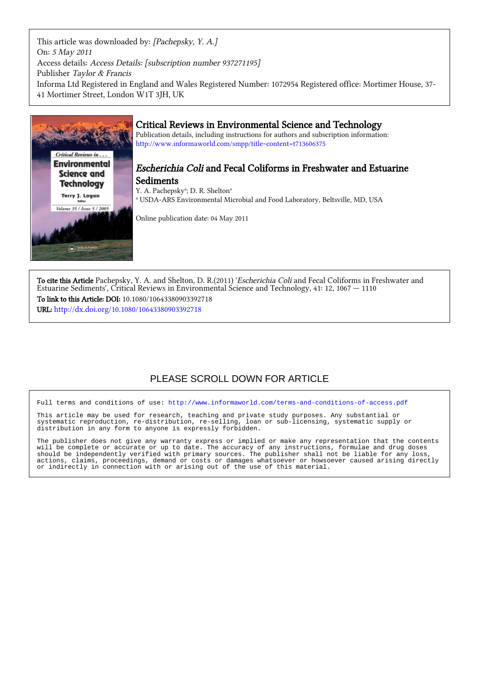This article was downloaded by: [Pachepsky, Y. A.] On: 5 May 2011 Access details: Access Details: [subscription number 937271195] Publisher Taylor & Francis Informa Ltd Registered in England and Wales Registered Number: 1072954 Registered office: Mortimer House, 37- 41 Mortimer Street, London W1T 3JH, UK



## Critical Reviews in Environmental Science and Technology

Publication details, including instructions for authors and subscription information: <http://www.informaworld.com/smpp/title~content=t713606375>

## Escherichia Coli and Fecal Coliforms in Freshwater and Estuarine Sediments

Y. A. Pachepsky<sup>a</sup>; D. R. Shelton<sup>a</sup> a USDA-ARS Environmental Microbial and Food Laboratory, Beltsville, MD, USA

Online publication date: 04 May 2011

To cite this Article Pachepsky, Y. A. and Shelton, D. R.(2011) 'Escherichia Coli and Fecal Coliforms in Freshwater and Estuarine Sediments', Critical Reviews in Environmental Science and Technology, 41: 12, 1067 — 1110 To link to this Article: DOI: 10.1080/10643380903392718

URL: <http://dx.doi.org/10.1080/10643380903392718>

# PLEASE SCROLL DOWN FOR ARTICLE

Full terms and conditions of use:<http://www.informaworld.com/terms-and-conditions-of-access.pdf>

This article may be used for research, teaching and private study purposes. Any substantial or systematic reproduction, re-distribution, re-selling, loan or sub-licensing, systematic supply or distribution in any form to anyone is expressly forbidden.

The publisher does not give any warranty express or implied or make any representation that the contents will be complete or accurate or up to date. The accuracy of any instructions, formulae and drug doses should be independently verified with primary sources. The publisher shall not be liable for any loss, actions, claims, proceedings, demand or costs or damages whatsoever or howsoever caused arising directly or indirectly in connection with or arising out of the use of this material.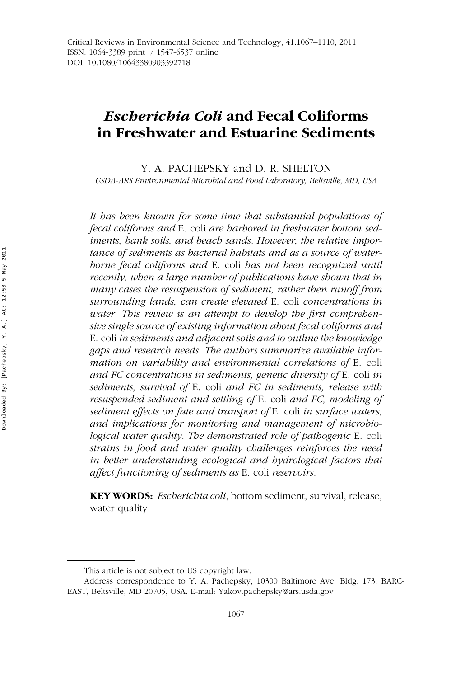# *Escherichia Coli* **and Fecal Coliforms in Freshwater and Estuarine Sediments**

Y. A. PACHEPSKY and D. R. SHELTON

*USDA-ARS Environmental Microbial and Food Laboratory, Beltsville, MD, USA*

*It has been known for some time that substantial populations of fecal coliforms and* E. coli *are harbored in freshwater bottom sediments, bank soils, and beach sands. However, the relative importance of sediments as bacterial habitats and as a source of waterborne fecal coliforms and* E. coli *has not been recognized until recently, when a large number of publications have shown that in many cases the resuspension of sediment, rather then runoff from surrounding lands, can create elevated* E. coli *concentrations in water. This review is an attempt to develop the first comprehensive single source of existing information about fecal coliforms and* E. coli *in sediments and adjacent soils and to outline the knowledge gaps and research needs. The authors summarize available information on variability and environmental correlations of* E. coli *and FC concentrations in sediments, genetic diversity of* E. coli *in sediments, survival of* E. coli *and FC in sediments, release with resuspended sediment and settling of* E. coli *and FC, modeling of sediment effects on fate and transport of* E. coli *in surface waters, and implications for monitoring and management of microbiological water quality. The demonstrated role of pathogenic* E. coli *strains in food and water quality challenges reinforces the need in better understanding ecological and hydrological factors that affect functioning of sediments as* E. coli *reservoirs.*

**KEY WORDS:** *Escherichia coli*, bottom sediment, survival, release, water quality

This article is not subject to US copyright law.

Address correspondence to Y. A. Pachepsky, 10300 Baltimore Ave, Bldg. 173, BARC-EAST, Beltsville, MD 20705, USA. E-mail: Yakov.pachepsky@ars.usda.gov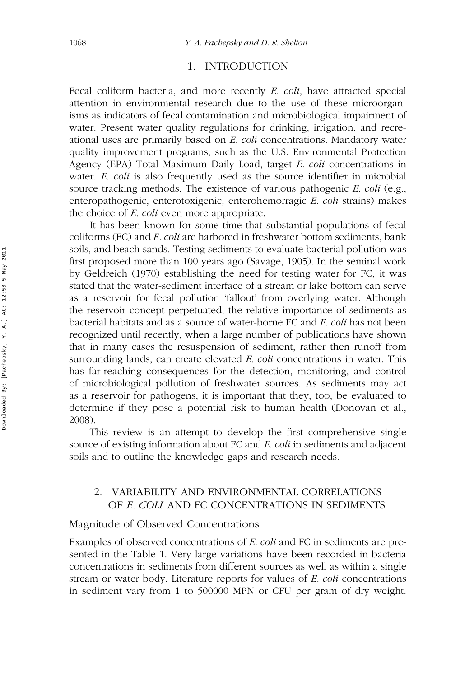## 1. INTRODUCTION

Fecal coliform bacteria, and more recently *E. coli*, have attracted special attention in environmental research due to the use of these microorganisms as indicators of fecal contamination and microbiological impairment of water. Present water quality regulations for drinking, irrigation, and recreational uses are primarily based on *E. coli* concentrations. Mandatory water quality improvement programs, such as the U.S. Environmental Protection Agency (EPA) Total Maximum Daily Load, target *E. coli* concentrations in water. *E. coli* is also frequently used as the source identifier in microbial source tracking methods. The existence of various pathogenic *E. coli* (e.g., enteropathogenic, enterotoxigenic, enterohemorragic *E. coli* strains) makes the choice of *E. coli* even more appropriate.

It has been known for some time that substantial populations of fecal coliforms (FC) and *E. coli* are harbored in freshwater bottom sediments, bank soils, and beach sands. Testing sediments to evaluate bacterial pollution was first proposed more than 100 years ago (Savage, 1905). In the seminal work by Geldreich (1970) establishing the need for testing water for FC, it was stated that the water-sediment interface of a stream or lake bottom can serve as a reservoir for fecal pollution 'fallout' from overlying water. Although the reservoir concept perpetuated, the relative importance of sediments as bacterial habitats and as a source of water-borne FC and *E. coli* has not been recognized until recently, when a large number of publications have shown that in many cases the resuspension of sediment, rather then runoff from surrounding lands, can create elevated *E. coli* concentrations in water. This has far-reaching consequences for the detection, monitoring, and control of microbiological pollution of freshwater sources. As sediments may act as a reservoir for pathogens, it is important that they, too, be evaluated to determine if they pose a potential risk to human health (Donovan et al., 2008).

This review is an attempt to develop the first comprehensive single source of existing information about FC and *E. coli* in sediments and adjacent soils and to outline the knowledge gaps and research needs.

## 2. VARIABILITY AND ENVIRONMENTAL CORRELATIONS OF *E. COLI* AND FC CONCENTRATIONS IN SEDIMENTS

#### Magnitude of Observed Concentrations

Examples of observed concentrations of *E. coli* and FC in sediments are presented in the Table 1. Very large variations have been recorded in bacteria concentrations in sediments from different sources as well as within a single stream or water body. Literature reports for values of *E. coli* concentrations in sediment vary from 1 to 500000 MPN or CFU per gram of dry weight.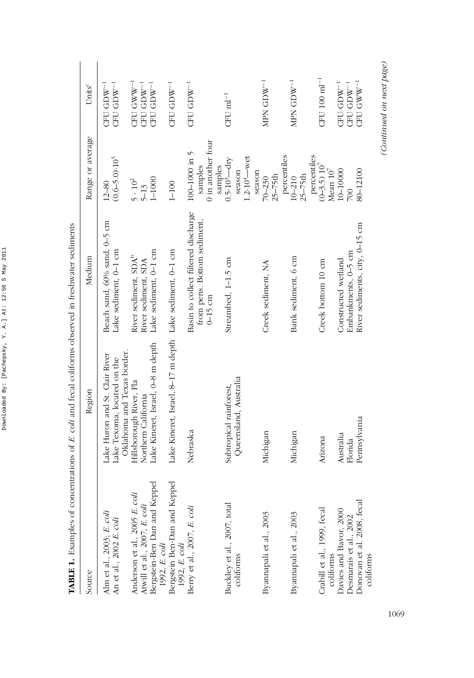|                                                                | <b>TABLE 1.</b> Examples of concentrations of E. coli and fecal coliforms observed in freshwater sediments |                                                                                 |                                                             |                                      |  |
|----------------------------------------------------------------|------------------------------------------------------------------------------------------------------------|---------------------------------------------------------------------------------|-------------------------------------------------------------|--------------------------------------|--|
| Source                                                         | Region                                                                                                     | Medium                                                                          | Range or average                                            | Units <sup>c</sup>                   |  |
| Alm et al., 2003; E. coli<br>An et al., 2002 E. coli           | Oklahoma and Texas border.<br>Lake Huron and St. Clair River<br>Lake Texoma, located on the                | Beach sand, 60% sand, 0-5 cm<br>Lake sediment, 0-1 cm                           | $(0.6 - 5.0) \cdot 10^5$<br>$12 - 80$                       | $CFU$ $GDW^{-1}$<br>$CFU$ $GDW^{-1}$ |  |
| Anderson et al., 2005 E. coli<br>Atwill et al., 2007, E. coli  | Hillsborough River, Fla<br>Northern California                                                             | River sediment, SDA <sup>b</sup><br>River sediment, SDA                         | $5\cdot10^2$<br>$5 - 13$                                    | $CFU GWW^{-1}$<br>$CFU$ $GDW^{-1}$   |  |
| Bergstein-Ben Dan and Keppel                                   | Lake Kineret, Israel, 0-8 m depth                                                                          | Lake sediment, 0-1 cm                                                           | $1 - 1000$                                                  | $CFU$ $GDW^{-1}$                     |  |
| 1992, E. coli<br>Bergstein Ben-Dan and Keppel<br>1992, E. coli | Lake Kineret, Israel, 8-17 m depth Lake sediment, 0-1 cm                                                   |                                                                                 | $1 - 100$                                                   | $CFU$ $GDW^{-1}$                     |  |
| Berry et al., 2007, E. coli                                    | Nebraska                                                                                                   | Basin to collect filtered discharge<br>from pens. Bottom sediment,<br>$0-15$ cm | 0 in another four<br>5<br>100-1000 in<br>samples<br>samples | $CFU$ $GDW^{-1}$                     |  |
| Buckley et al., 2007, total<br>coliforms                       | Queensland, Australia<br>Subtropical rainforest,                                                           | Streambed, 1–1.5 cm                                                             | $1.2 \cdot 10^4$ — wet<br>$0.5 \cdot 10^{4}$ dry<br>season  | $CFU$ m $l^{-1}$                     |  |
| Byannapali et al., 2003                                        | Michigan                                                                                                   | Creek sediment, NA                                                              | season<br>$25 - 75$ th<br>$70 - 230$                        | $MPN$ $GDW^{-1}$                     |  |
| Byannapali et al., 2003                                        | Michigan                                                                                                   | Bank sediment, 6 cm                                                             | percentiles<br>$25 - 75$ th<br>$10 - 210$                   | $MPN$ $GDW^{-1}$                     |  |
| Crabill et al., 1999, fecal<br>coliforms                       | Arizona                                                                                                    | Creek bottom 10 cm                                                              | percentiles<br>$(0 - 3.5) 107$<br>Mean $10^7$               | $CFU 100 \text{ ml}^{-1}$            |  |
| Davies and Bavor, 2000<br>Desmarais et al., 2002               | Australia<br>Florida                                                                                       | Embankments, 0-5 cm<br>Constructed wetland                                      | $10 - 10000$<br>700                                         | $CFU$ $GDW^{-1}$<br>$CFU$ $GDW^{-1}$ |  |
| Donovan et al. 2008, fecal<br>coliforms                        | Pennsylvania                                                                                               | River sediments, city, 0-15 cm                                                  | 80-12100                                                    | $CFU GWW-1$                          |  |

*(Continued on next page)*

(Continued on next page)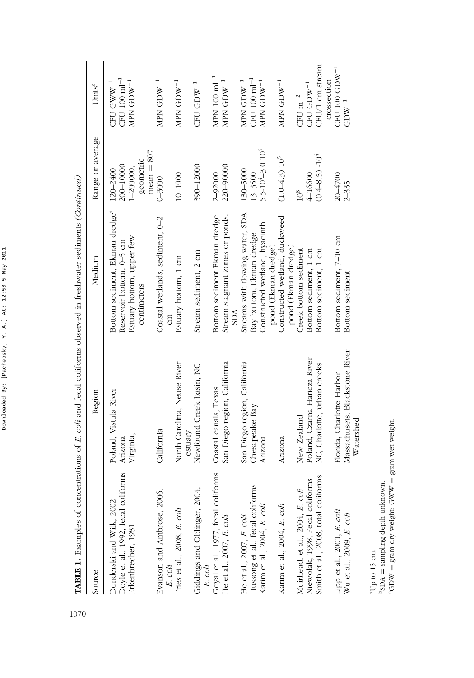Downloaded By: [Pachepsky, Y. A.] At: 12:56 5 May 2011 Downloaded By: [Pachepsky, Y. A.] At: 12:56 5 May 2011

|                                                                                                           |                                                                            | <b>FIGURE 1.</b> TABLE 1. THE CONSTRUCTED OF THE PLAN CONSTRUCTED OF THE POST OF THE PLAN CONSTRUCT OF THE THREE IS A SECOND OF THE SECOND OF THE SECOND SECOND THREE IS A SECOND OF THE SECOND OF THE SECOND SECOND THE SECOND SEC |                                                           |                                                                   |
|-----------------------------------------------------------------------------------------------------------|----------------------------------------------------------------------------|-------------------------------------------------------------------------------------------------------------------------------------------------------------------------------------------------------------------------------------|-----------------------------------------------------------|-------------------------------------------------------------------|
| Source                                                                                                    | Region                                                                     | Medium                                                                                                                                                                                                                              | Range or average                                          | Units <sup>c</sup>                                                |
| Doyle et al., 1992, fecal coliforms<br>Donderski and Wilk, 2002<br>Erkenbrecher, 1981                     | Poland, Vistula River<br>Virginia,<br>Arizona                              | Bottom sediment, Ekman dredge <sup>a</sup><br>Estuary bottom, upper few<br>Reservoir bottom, 0–5 cm<br>centimeters                                                                                                                  | geometric<br>200-10000<br>1-200000.<br>120-2400           | $CFU 100 \text{ ml}^{-1}$<br>$MPN$ $GDW^{-1}$<br>$CFU GWW-1$      |
| Evanson and Ambrose, 2006,<br>E. coli                                                                     | California                                                                 | Coastal wetlands, sediment, 0-2<br>ξ                                                                                                                                                                                                | $mean = 807$<br>$0 - 3000$                                | $MPN$ $GDW^{-1}$                                                  |
| Fries et al., 2008, E. coli                                                                               | North Carolina, Neuse River                                                | Estuary bottom, 1 cm                                                                                                                                                                                                                | $10 - 1000$                                               | $MPN$ $GDW^{-1}$                                                  |
| Giddings and Oblinger, 2004,<br>E. coli                                                                   | Newfound Creek basin, NC<br>estuary                                        | Stream sediment, 2 cm                                                                                                                                                                                                               | 390-12000                                                 | $CFU$ $GDW^{-1}$                                                  |
| Goyal et al., 1977, fecal coliforms<br>He et al., 2007, E. coli                                           | San Diego region, California<br>Coastal canals, Texas                      | Bottom sediment Ekman dredge<br>Stream stagnant zones or ponds,<br>SDA                                                                                                                                                              | $220 - 90000$<br>2-92000                                  | $MPN 100 \text{ ml}^{-1}$<br>$MPN$ $GDW^{-1}$                     |
| Hussong et al., fecal coliforms<br>Karim et al., 2004, E. coli<br>He et al., 2007, E. coli                | San Diego region, California<br>Chesapeake Bay<br>Arizona                  | Streams with flowing water, SDA<br>Constructed wetland, hyacinth<br>Bay bottom, Ekman dredge                                                                                                                                        | $5.5 \cdot 10^{4} - 3.010^{6}$<br>130-5000<br>$13 - 3500$ | $CFU 100 \text{ m}^{-1}$<br>MPN $GDW^{-1}$<br>MPN $GDW^{-1}$      |
| Karim et al., 2004, E. coli                                                                               | Arizona                                                                    | Constructed wetland, duckweed<br>pond (Ekman dredge)                                                                                                                                                                                | $(1.0 - 4.3) 10^5$                                        | $MPN$ $GDW^{-1}$                                                  |
| Smith et al., 2008, total coliforms<br>Niewolak, 1998, Fecal coliforms<br>Muirhead, et al., 2004, E. coli | Poland, Czarna Haricza River<br>NC, Charlotte, urban creeks<br>New Zealand | pond (Ekman dredge)<br>Creek bottom sediment<br>Bottom sediment, 1 cm<br>Bottom sediment, 1 cm                                                                                                                                      | $(0.4 - 8.5) \cdot 10^{4}$<br>4-16600<br>$10^8$           | CFU/1 cm stream<br>$GPUGDW^{-1}$<br>CFU $m^{-2}$                  |
| Lipp et al., 2001, E. coli<br>Wu et al., $2009$ , E. $\textit{coli}$                                      | Massachusets, Blackstone River<br>Florida, Charlotte Harbor<br>Watershec   | Bottom sediment, 7-10 cm<br>Bottom sediment                                                                                                                                                                                         | $20 - 4700$<br>$2 - 335$                                  | CFU 100 $\textrm{GDW}^{-1}$<br>crossection<br>$\mathrm{GDW}^{-1}$ |

**TABLE 1.** Examples of concentrations of E. coli and fecal coliforms observed in freshwater sediments (Continued) **TABLE 1.** Examples of concentrations of *E. coli* and fecal coliforms observed in freshwater sediments *(Continued)*

aUp to 15 cm.

<sup>4</sup>Up to 15 cm.<br>b<sub>SDA</sub> = sampling depth unknown.<br> $^{\circ}$ GDW = gram dry weight; GWW = gram wet weight.  $c$ GDW = gram dry weight; GWW = gram wet weight. bSDA = sampling depth unknown.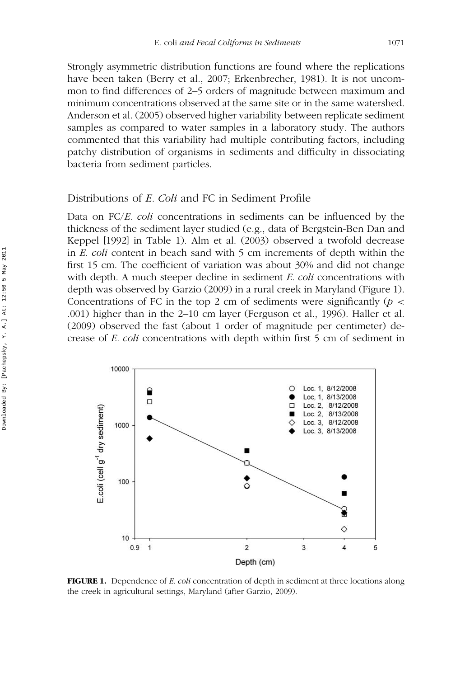Strongly asymmetric distribution functions are found where the replications have been taken (Berry et al., 2007; Erkenbrecher, 1981). It is not uncommon to find differences of 2–5 orders of magnitude between maximum and minimum concentrations observed at the same site or in the same watershed. Anderson et al. (2005) observed higher variability between replicate sediment samples as compared to water samples in a laboratory study. The authors commented that this variability had multiple contributing factors, including patchy distribution of organisms in sediments and difficulty in dissociating bacteria from sediment particles.

## Distributions of *E. Coli* and FC in Sediment Profile

Data on FC/*E. coli* concentrations in sediments can be influenced by the thickness of the sediment layer studied (e.g., data of Bergstein-Ben Dan and Keppel [1992] in Table 1). Alm et al. (2003) observed a twofold decrease in *E. coli* content in beach sand with 5 cm increments of depth within the first 15 cm. The coefficient of variation was about 30% and did not change with depth. A much steeper decline in sediment *E. coli* concentrations with depth was observed by Garzio (2009) in a rural creek in Maryland (Figure 1). Concentrations of FC in the top 2 cm of sediments were significantly ( $p <$ .001) higher than in the 2–10 cm layer (Ferguson et al., 1996). Haller et al. (2009) observed the fast (about 1 order of magnitude per centimeter) decrease of *E. coli* concentrations with depth within first 5 cm of sediment in



**FIGURE 1.** Dependence of *E. coli* concentration of depth in sediment at three locations along the creek in agricultural settings, Maryland (after Garzio, 2009).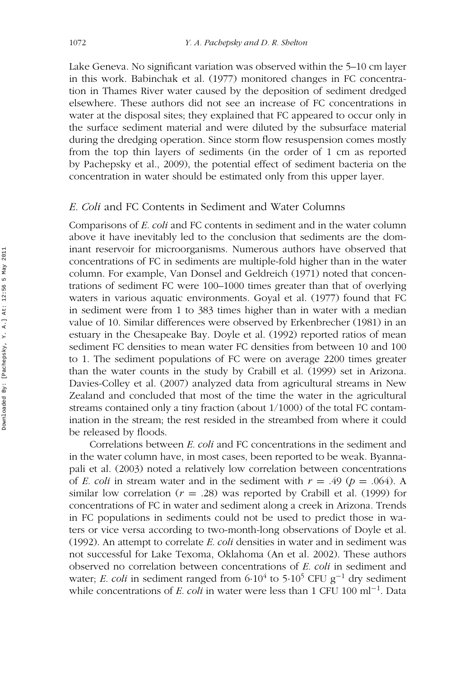Lake Geneva. No significant variation was observed within the 5–10 cm layer in this work. Babinchak et al. (1977) monitored changes in FC concentration in Thames River water caused by the deposition of sediment dredged elsewhere. These authors did not see an increase of FC concentrations in water at the disposal sites; they explained that FC appeared to occur only in the surface sediment material and were diluted by the subsurface material during the dredging operation. Since storm flow resuspension comes mostly from the top thin layers of sediments (in the order of 1 cm as reported by Pachepsky et al., 2009), the potential effect of sediment bacteria on the concentration in water should be estimated only from this upper layer.

## *E. Coli* and FC Contents in Sediment and Water Columns

Comparisons of *E. coli* and FC contents in sediment and in the water column above it have inevitably led to the conclusion that sediments are the dominant reservoir for microorganisms. Numerous authors have observed that concentrations of FC in sediments are multiple-fold higher than in the water column. For example, Van Donsel and Geldreich (1971) noted that concentrations of sediment FC were 100–1000 times greater than that of overlying waters in various aquatic environments. Goyal et al. (1977) found that FC in sediment were from 1 to 383 times higher than in water with a median value of 10. Similar differences were observed by Erkenbrecher (1981) in an estuary in the Chesapeake Bay. Doyle et al. (1992) reported ratios of mean sediment FC densities to mean water FC densities from between 10 and 100 to 1. The sediment populations of FC were on average 2200 times greater than the water counts in the study by Crabill et al. (1999) set in Arizona. Davies-Colley et al. (2007) analyzed data from agricultural streams in New Zealand and concluded that most of the time the water in the agricultural streams contained only a tiny fraction (about 1/1000) of the total FC contamination in the stream; the rest resided in the streambed from where it could be released by floods.

Correlations between *E. coli* and FC concentrations in the sediment and in the water column have, in most cases, been reported to be weak. Byannapali et al. (2003) noted a relatively low correlation between concentrations of *E. coli* in stream water and in the sediment with  $r = .49$  ( $p = .064$ ). A similar low correlation  $(r = .28)$  was reported by Crabill et al. (1999) for concentrations of FC in water and sediment along a creek in Arizona. Trends in FC populations in sediments could not be used to predict those in waters or vice versa according to two-month-long observations of Doyle et al. (1992). An attempt to correlate *E. coli* densities in water and in sediment was not successful for Lake Texoma, Oklahoma (An et al. 2002). These authors observed no correlation between concentrations of *E. coli* in sediment and water; *E. coli* in sediment ranged from  $6.10^4$  to  $5.10^5$  CFU g<sup>-1</sup> dry sediment while concentrations of *E. coli* in water were less than 1 CFU 100 ml<sup>-1</sup>. Data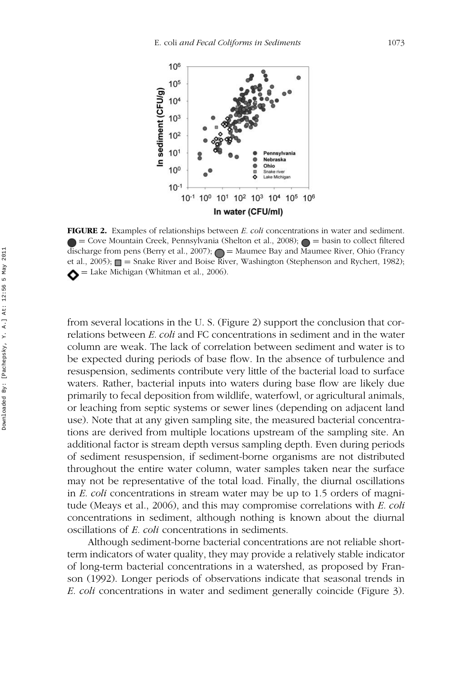

**FIGURE 2.** Examples of relationships between *E. coli* concentrations in water and sediment. = Cove Mountain Creek, Pennsylvania (Shelton et al., 2008);  $\bigcirc$  = basin to collect filtered discharge from pens (Berry et al., 2007);  $\bigcirc$  = Maumee Bay and Maumee River, Ohio (Francy et al., 2005);  $\Box$  = Snake River and Boise River, Washington (Stephenson and Rychert, 1982);  $\blacktriangle$  = Lake Michigan (Whitman et al., 2006).

from several locations in the U. S. (Figure 2) support the conclusion that correlations between *E. coli* and FC concentrations in sediment and in the water column are weak. The lack of correlation between sediment and water is to be expected during periods of base flow. In the absence of turbulence and resuspension, sediments contribute very little of the bacterial load to surface waters. Rather, bacterial inputs into waters during base flow are likely due primarily to fecal deposition from wildlife, waterfowl, or agricultural animals, or leaching from septic systems or sewer lines (depending on adjacent land use). Note that at any given sampling site, the measured bacterial concentrations are derived from multiple locations upstream of the sampling site. An additional factor is stream depth versus sampling depth. Even during periods of sediment resuspension, if sediment-borne organisms are not distributed throughout the entire water column, water samples taken near the surface may not be representative of the total load. Finally, the diurnal oscillations in *E. coli* concentrations in stream water may be up to 1.5 orders of magnitude (Meays et al., 2006), and this may compromise correlations with *E. coli* concentrations in sediment, although nothing is known about the diurnal oscillations of *E. coli* concentrations in sediments.

Although sediment-borne bacterial concentrations are not reliable shortterm indicators of water quality, they may provide a relatively stable indicator of long-term bacterial concentrations in a watershed, as proposed by Franson (1992). Longer periods of observations indicate that seasonal trends in *E. coli* concentrations in water and sediment generally coincide (Figure 3).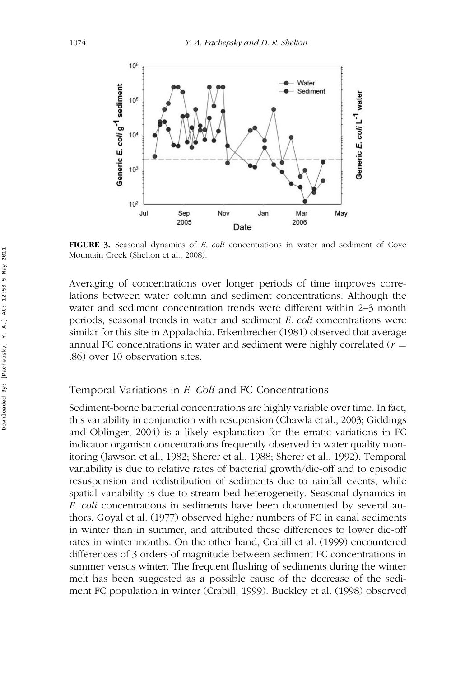

**FIGURE 3.** Seasonal dynamics of *E. coli* concentrations in water and sediment of Cove Mountain Creek (Shelton et al., 2008).

Averaging of concentrations over longer periods of time improves correlations between water column and sediment concentrations. Although the water and sediment concentration trends were different within 2–3 month periods, seasonal trends in water and sediment *E. coli* concentrations were similar for this site in Appalachia. Erkenbrecher (1981) observed that average annual FC concentrations in water and sediment were highly correlated (*r* = .86) over 10 observation sites.

## Temporal Variations in *E. Coli* and FC Concentrations

Sediment-borne bacterial concentrations are highly variable over time. In fact, this variability in conjunction with resupension (Chawla et al., 2003; Giddings and Oblinger, 2004) is a likely explanation for the erratic variations in FC indicator organism concentrations frequently observed in water quality monitoring (Jawson et al., 1982; Sherer et al., 1988; Sherer et al., 1992). Temporal variability is due to relative rates of bacterial growth/die-off and to episodic resuspension and redistribution of sediments due to rainfall events, while spatial variability is due to stream bed heterogeneity. Seasonal dynamics in *E. coli* concentrations in sediments have been documented by several authors. Goyal et al. (1977) observed higher numbers of FC in canal sediments in winter than in summer, and attributed these differences to lower die-off rates in winter months. On the other hand, Crabill et al. (1999) encountered differences of 3 orders of magnitude between sediment FC concentrations in summer versus winter. The frequent flushing of sediments during the winter melt has been suggested as a possible cause of the decrease of the sediment FC population in winter (Crabill, 1999). Buckley et al. (1998) observed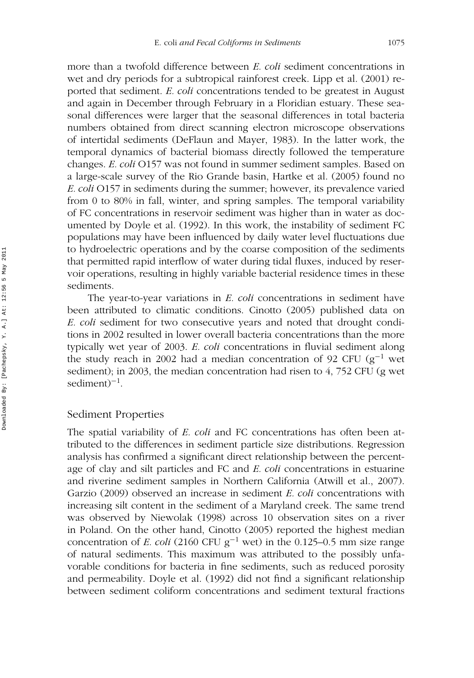more than a twofold difference between *E. coli* sediment concentrations in wet and dry periods for a subtropical rainforest creek. Lipp et al. (2001) reported that sediment. *E. coli* concentrations tended to be greatest in August and again in December through February in a Floridian estuary. These seasonal differences were larger that the seasonal differences in total bacteria numbers obtained from direct scanning electron microscope observations of intertidal sediments (DeFlaun and Mayer, 1983). In the latter work, the temporal dynamics of bacterial biomass directly followed the temperature changes. *E. coli* O157 was not found in summer sediment samples. Based on a large-scale survey of the Rio Grande basin, Hartke et al. (2005) found no *E. coli* O157 in sediments during the summer; however, its prevalence varied from 0 to 80% in fall, winter, and spring samples. The temporal variability of FC concentrations in reservoir sediment was higher than in water as documented by Doyle et al. (1992). In this work, the instability of sediment FC populations may have been influenced by daily water level fluctuations due to hydroelectric operations and by the coarse composition of the sediments that permitted rapid interflow of water during tidal fluxes, induced by reservoir operations, resulting in highly variable bacterial residence times in these sediments.

The year-to-year variations in *E. coli* concentrations in sediment have been attributed to climatic conditions. Cinotto (2005) published data on *E. coli* sediment for two consecutive years and noted that drought conditions in 2002 resulted in lower overall bacteria concentrations than the more typically wet year of 2003. *E. coli* concentrations in fluvial sediment along the study reach in 2002 had a median concentration of 92 CFU ( $g^{-1}$  wet sediment); in 2003, the median concentration had risen to 4, 752 CFU (g wet sediment)−<sup>1</sup> .

#### Sediment Properties

The spatial variability of *E. coli* and FC concentrations has often been attributed to the differences in sediment particle size distributions. Regression analysis has confirmed a significant direct relationship between the percentage of clay and silt particles and FC and *E. coli* concentrations in estuarine and riverine sediment samples in Northern California (Atwill et al., 2007). Garzio (2009) observed an increase in sediment *E. coli* concentrations with increasing silt content in the sediment of a Maryland creek. The same trend was observed by Niewolak (1998) across 10 observation sites on a river in Poland. On the other hand, Cinotto (2005) reported the highest median concentration of *E. coli* (2160 CFU  $g^{-1}$  wet) in the 0.125–0.5 mm size range of natural sediments. This maximum was attributed to the possibly unfavorable conditions for bacteria in fine sediments, such as reduced porosity and permeability. Doyle et al. (1992) did not find a significant relationship between sediment coliform concentrations and sediment textural fractions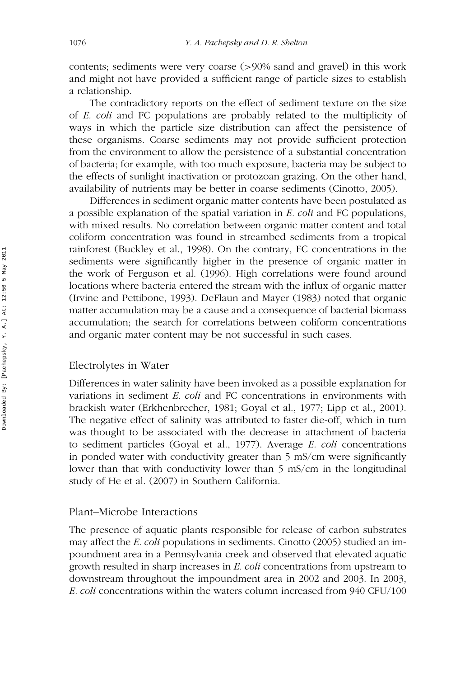contents; sediments were very coarse (>90% sand and gravel) in this work and might not have provided a sufficient range of particle sizes to establish a relationship.

The contradictory reports on the effect of sediment texture on the size of *E. coli* and FC populations are probably related to the multiplicity of ways in which the particle size distribution can affect the persistence of these organisms. Coarse sediments may not provide sufficient protection from the environment to allow the persistence of a substantial concentration of bacteria; for example, with too much exposure, bacteria may be subject to the effects of sunlight inactivation or protozoan grazing. On the other hand, availability of nutrients may be better in coarse sediments (Cinotto, 2005).

Differences in sediment organic matter contents have been postulated as a possible explanation of the spatial variation in *E. coli* and FC populations, with mixed results. No correlation between organic matter content and total coliform concentration was found in streambed sediments from a tropical rainforest (Buckley et al., 1998). On the contrary, FC concentrations in the sediments were significantly higher in the presence of organic matter in the work of Ferguson et al. (1996). High correlations were found around locations where bacteria entered the stream with the influx of organic matter (Irvine and Pettibone, 1993). DeFlaun and Mayer (1983) noted that organic matter accumulation may be a cause and a consequence of bacterial biomass accumulation; the search for correlations between coliform concentrations and organic mater content may be not successful in such cases.

#### Electrolytes in Water

Differences in water salinity have been invoked as a possible explanation for variations in sediment *E. coli* and FC concentrations in environments with brackish water (Erkhenbrecher, 1981; Goyal et al., 1977; Lipp et al., 2001). The negative effect of salinity was attributed to faster die-off, which in turn was thought to be associated with the decrease in attachment of bacteria to sediment particles (Goyal et al., 1977). Average *E. coli* concentrations in ponded water with conductivity greater than 5 mS/cm were significantly lower than that with conductivity lower than 5 mS/cm in the longitudinal study of He et al. (2007) in Southern California.

#### Plant–Microbe Interactions

The presence of aquatic plants responsible for release of carbon substrates may affect the *E. coli* populations in sediments. Cinotto (2005) studied an impoundment area in a Pennsylvania creek and observed that elevated aquatic growth resulted in sharp increases in *E. coli* concentrations from upstream to downstream throughout the impoundment area in 2002 and 2003. In 2003, *E. coli* concentrations within the waters column increased from 940 CFU/100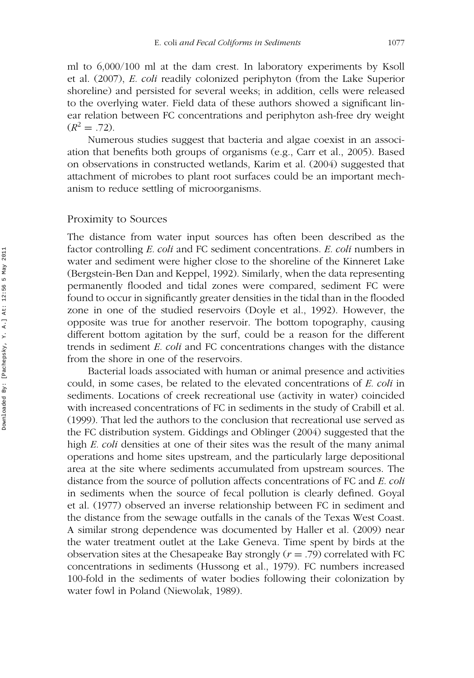ml to 6,000/100 ml at the dam crest. In laboratory experiments by Ksoll et al. (2007), *E. coli* readily colonized periphyton (from the Lake Superior shoreline) and persisted for several weeks; in addition, cells were released to the overlying water. Field data of these authors showed a significant linear relation between FC concentrations and periphyton ash-free dry weight  $(R^2=.72)$ .

Numerous studies suggest that bacteria and algae coexist in an association that benefits both groups of organisms (e.g., Carr et al., 2005). Based on observations in constructed wetlands, Karim et al. (2004) suggested that attachment of microbes to plant root surfaces could be an important mechanism to reduce settling of microorganisms.

#### Proximity to Sources

The distance from water input sources has often been described as the factor controlling *E. coli* and FC sediment concentrations. *E. coli* numbers in water and sediment were higher close to the shoreline of the Kinneret Lake (Bergstein-Ben Dan and Keppel, 1992). Similarly, when the data representing permanently flooded and tidal zones were compared, sediment FC were found to occur in significantly greater densities in the tidal than in the flooded zone in one of the studied reservoirs (Doyle et al., 1992). However, the opposite was true for another reservoir. The bottom topography, causing different bottom agitation by the surf, could be a reason for the different trends in sediment *E. coli* and FC concentrations changes with the distance from the shore in one of the reservoirs.

Bacterial loads associated with human or animal presence and activities could, in some cases, be related to the elevated concentrations of *E. coli* in sediments. Locations of creek recreational use (activity in water) coincided with increased concentrations of FC in sediments in the study of Crabill et al. (1999). That led the authors to the conclusion that recreational use served as the FC distribution system. Giddings and Oblinger (2004) suggested that the high *E. coli* densities at one of their sites was the result of the many animal operations and home sites upstream, and the particularly large depositional area at the site where sediments accumulated from upstream sources. The distance from the source of pollution affects concentrations of FC and *E. coli* in sediments when the source of fecal pollution is clearly defined. Goyal et al. (1977) observed an inverse relationship between FC in sediment and the distance from the sewage outfalls in the canals of the Texas West Coast. A similar strong dependence was documented by Haller et al. (2009) near the water treatment outlet at the Lake Geneva. Time spent by birds at the observation sites at the Chesapeake Bay strongly (*r* = .79) correlated with FC concentrations in sediments (Hussong et al., 1979). FC numbers increased 100-fold in the sediments of water bodies following their colonization by water fowl in Poland (Niewolak, 1989).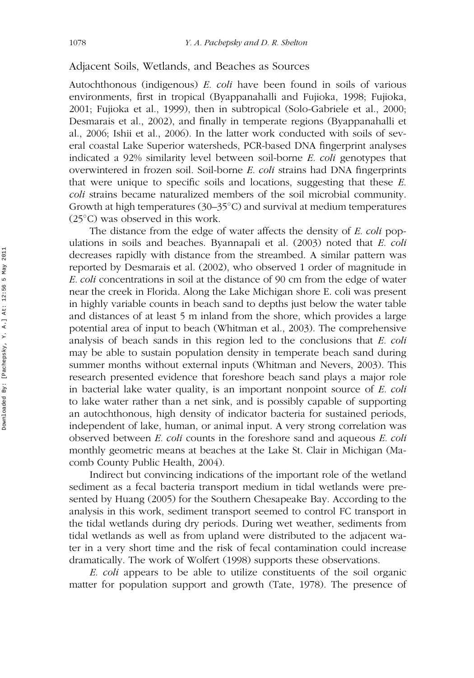Adjacent Soils, Wetlands, and Beaches as Sources

Autochthonous (indigenous) *E. coli* have been found in soils of various environments, first in tropical (Byappanahalli and Fujioka, 1998; Fujioka, 2001; Fujioka et al., 1999), then in subtropical (Solo-Gabriele et al., 2000; Desmarais et al., 2002), and finally in temperate regions (Byappanahalli et al., 2006; Ishii et al., 2006). In the latter work conducted with soils of several coastal Lake Superior watersheds, PCR-based DNA fingerprint analyses indicated a 92% similarity level between soil-borne *E. coli* genotypes that overwintered in frozen soil. Soil-borne *E. coli* strains had DNA fingerprints that were unique to specific soils and locations, suggesting that these *E. coli* strains became naturalized members of the soil microbial community. Growth at high temperatures  $(30-35°C)$  and survival at medium temperatures  $(25\degree C)$  was observed in this work.

The distance from the edge of water affects the density of *E. coli* populations in soils and beaches. Byannapali et al. (2003) noted that *E. coli* decreases rapidly with distance from the streambed. A similar pattern was reported by Desmarais et al. (2002), who observed 1 order of magnitude in *E. coli* concentrations in soil at the distance of 90 cm from the edge of water near the creek in Florida. Along the Lake Michigan shore E. coli was present in highly variable counts in beach sand to depths just below the water table and distances of at least 5 m inland from the shore, which provides a large potential area of input to beach (Whitman et al., 2003). The comprehensive analysis of beach sands in this region led to the conclusions that *E. coli* may be able to sustain population density in temperate beach sand during summer months without external inputs (Whitman and Nevers, 2003). This research presented evidence that foreshore beach sand plays a major role in bacterial lake water quality, is an important nonpoint source of *E. coli* to lake water rather than a net sink, and is possibly capable of supporting an autochthonous, high density of indicator bacteria for sustained periods, independent of lake, human, or animal input. A very strong correlation was observed between *E. coli* counts in the foreshore sand and aqueous *E. coli* monthly geometric means at beaches at the Lake St. Clair in Michigan (Macomb County Public Health, 2004).

Indirect but convincing indications of the important role of the wetland sediment as a fecal bacteria transport medium in tidal wetlands were presented by Huang (2005) for the Southern Chesapeake Bay. According to the analysis in this work, sediment transport seemed to control FC transport in the tidal wetlands during dry periods. During wet weather, sediments from tidal wetlands as well as from upland were distributed to the adjacent water in a very short time and the risk of fecal contamination could increase dramatically. The work of Wolfert (1998) supports these observations.

*E. coli* appears to be able to utilize constituents of the soil organic matter for population support and growth (Tate, 1978). The presence of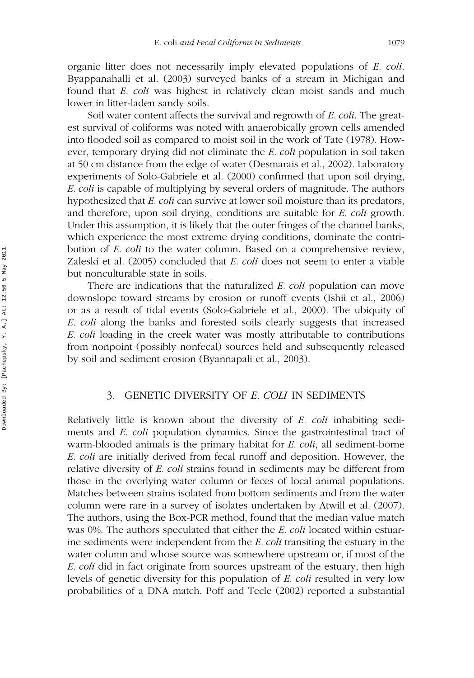organic litter does not necessarily imply elevated populations of *E. coli*. Byappanahalli et al. (2003) surveyed banks of a stream in Michigan and found that *E. coli* was highest in relatively clean moist sands and much lower in litter-laden sandy soils.

Soil water content affects the survival and regrowth of *E. coli*. The greatest survival of coliforms was noted with anaerobically grown cells amended into flooded soil as compared to moist soil in the work of Tate (1978). However, temporary drying did not eliminate the *E. coli* population in soil taken at 50 cm distance from the edge of water (Desmarais et al., 2002). Laboratory experiments of Solo-Gabriele et al. (2000) confirmed that upon soil drying, *E. coli* is capable of multiplying by several orders of magnitude. The authors hypothesized that *E. coli* can survive at lower soil moisture than its predators, and therefore, upon soil drying, conditions are suitable for *E. coli* growth. Under this assumption, it is likely that the outer fringes of the channel banks, which experience the most extreme drying conditions, dominate the contribution of *E. coli* to the water column. Based on a comprehensive review, Zaleski et al. (2005) concluded that *E. coli* does not seem to enter a viable but nonculturable state in soils.

There are indications that the naturalized *E. coli* population can move downslope toward streams by erosion or runoff events (Ishii et al., 2006) or as a result of tidal events (Solo-Gabriele et al., 2000). The ubiquity of *E. coli* along the banks and forested soils clearly suggests that increased *E. coli* loading in the creek water was mostly attributable to contributions from nonpoint (possibly nonfecal) sources held and subsequently released by soil and sediment erosion (Byannapali et al., 2003).

#### 3. GENETIC DIVERSITY OF *E. COLI* IN SEDIMENTS

Relatively little is known about the diversity of *E. coli* inhabiting sediments and *E. coli* population dynamics. Since the gastrointestinal tract of warm-blooded animals is the primary habitat for *E. coli*, all sediment-borne *E. coli* are initially derived from fecal runoff and deposition. However, the relative diversity of *E. coli* strains found in sediments may be different from those in the overlying water column or feces of local animal populations. Matches between strains isolated from bottom sediments and from the water column were rare in a survey of isolates undertaken by Atwill et al. (2007). The authors, using the Box-PCR method, found that the median value match was 0%. The authors speculated that either the *E. coli* located within estuarine sediments were independent from the *E. coli* transiting the estuary in the water column and whose source was somewhere upstream or, if most of the *E. coli* did in fact originate from sources upstream of the estuary, then high levels of genetic diversity for this population of *E. coli* resulted in very low probabilities of a DNA match. Poff and Tecle (2002) reported a substantial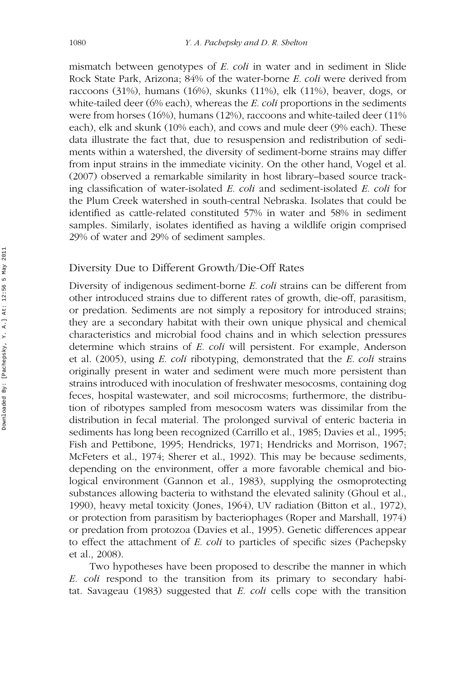mismatch between genotypes of *E. coli* in water and in sediment in Slide Rock State Park, Arizona; 84% of the water-borne *E. coli* were derived from raccoons (31%), humans (16%), skunks (11%), elk (11%), beaver, dogs, or white-tailed deer (6% each), whereas the *E. coli* proportions in the sediments were from horses (16%), humans (12%), raccoons and white-tailed deer (11% each), elk and skunk (10% each), and cows and mule deer (9% each). These data illustrate the fact that, due to resuspension and redistribution of sediments within a watershed, the diversity of sediment-borne strains may differ from input strains in the immediate vicinity. On the other hand, Vogel et al. (2007) observed a remarkable similarity in host library–based source tracking classification of water-isolated *E. coli* and sediment-isolated *E. coli* for the Plum Creek watershed in south-central Nebraska. Isolates that could be identified as cattle-related constituted 57% in water and 58% in sediment samples. Similarly, isolates identified as having a wildlife origin comprised 29% of water and 29% of sediment samples.

#### Diversity Due to Different Growth/Die-Off Rates

Diversity of indigenous sediment-borne *E. coli* strains can be different from other introduced strains due to different rates of growth, die-off, parasitism, or predation. Sediments are not simply a repository for introduced strains; they are a secondary habitat with their own unique physical and chemical characteristics and microbial food chains and in which selection pressures determine which strains of *E. coli* will persistent. For example, Anderson et al. (2005), using *E. coli* ribotyping, demonstrated that the *E. coli* strains originally present in water and sediment were much more persistent than strains introduced with inoculation of freshwater mesocosms, containing dog feces, hospital wastewater, and soil microcosms; furthermore, the distribution of ribotypes sampled from mesocosm waters was dissimilar from the distribution in fecal material. The prolonged survival of enteric bacteria in sediments has long been recognized (Carrillo et al., 1985; Davies et al., 1995; Fish and Pettibone, 1995; Hendricks, 1971; Hendricks and Morrison, 1967; McFeters et al., 1974; Sherer et al., 1992). This may be because sediments, depending on the environment, offer a more favorable chemical and biological environment (Gannon et al., 1983), supplying the osmoprotecting substances allowing bacteria to withstand the elevated salinity (Ghoul et al., 1990), heavy metal toxicity (Jones, 1964), UV radiation (Bitton et al., 1972), or protection from parasitism by bacteriophages (Roper and Marshall, 1974) or predation from protozoa (Davies et al., 1995). Genetic differences appear to effect the attachment of *E. coli* to particles of specific sizes (Pachepsky et al., 2008).

Two hypotheses have been proposed to describe the manner in which *E. coli* respond to the transition from its primary to secondary habitat. Savageau (1983) suggested that *E. coli* cells cope with the transition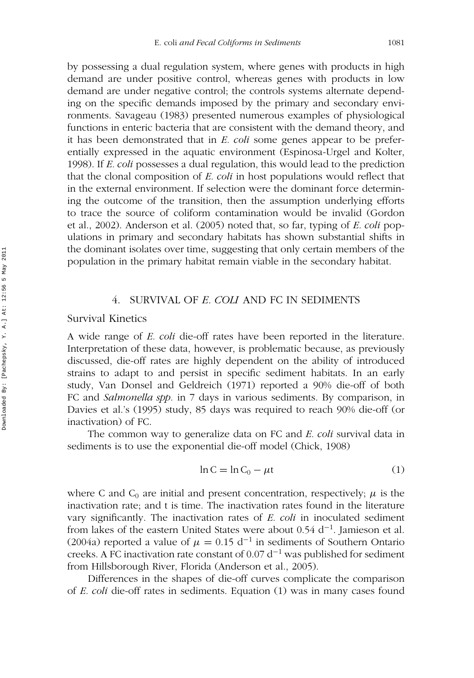by possessing a dual regulation system, where genes with products in high demand are under positive control, whereas genes with products in low demand are under negative control; the controls systems alternate depending on the specific demands imposed by the primary and secondary environments. Savageau (1983) presented numerous examples of physiological functions in enteric bacteria that are consistent with the demand theory, and it has been demonstrated that in *E. coli* some genes appear to be preferentially expressed in the aquatic environment (Espinosa-Urgel and Kolter, 1998). If *E. coli* possesses a dual regulation, this would lead to the prediction that the clonal composition of *E. coli* in host populations would reflect that in the external environment. If selection were the dominant force determining the outcome of the transition, then the assumption underlying efforts to trace the source of coliform contamination would be invalid (Gordon et al., 2002). Anderson et al. (2005) noted that, so far, typing of *E. coli* populations in primary and secondary habitats has shown substantial shifts in the dominant isolates over time, suggesting that only certain members of the population in the primary habitat remain viable in the secondary habitat.

## 4. SURVIVAL OF *E. COLI* AND FC IN SEDIMENTS

#### Survival Kinetics

A wide range of *E. coli* die-off rates have been reported in the literature. Interpretation of these data, however, is problematic because, as previously discussed, die-off rates are highly dependent on the ability of introduced strains to adapt to and persist in specific sediment habitats. In an early study, Van Donsel and Geldreich (1971) reported a 90% die-off of both FC and *Salmonella spp.* in 7 days in various sediments. By comparison, in Davies et al.'s (1995) study, 85 days was required to reach 90% die-off (or inactivation) of FC.

The common way to generalize data on FC and *E. coli* survival data in sediments is to use the exponential die-off model (Chick, 1908)

$$
\ln C = \ln C_0 - \mu t \tag{1}
$$

where C and  $C_0$  are initial and present concentration, respectively;  $\mu$  is the inactivation rate; and t is time. The inactivation rates found in the literature vary significantly. The inactivation rates of *E. coli* in inoculated sediment from lakes of the eastern United States were about 0.54  $d^{-1}$ . Jamieson et al. (2004a) reported a value of  $\mu = 0.15$  d<sup>-1</sup> in sediments of Southern Ontario creeks. A FC inactivation rate constant of  $0.07 d^{-1}$  was published for sediment from Hillsborough River, Florida (Anderson et al., 2005).

Differences in the shapes of die-off curves complicate the comparison of *E. coli* die-off rates in sediments. Equation (1) was in many cases found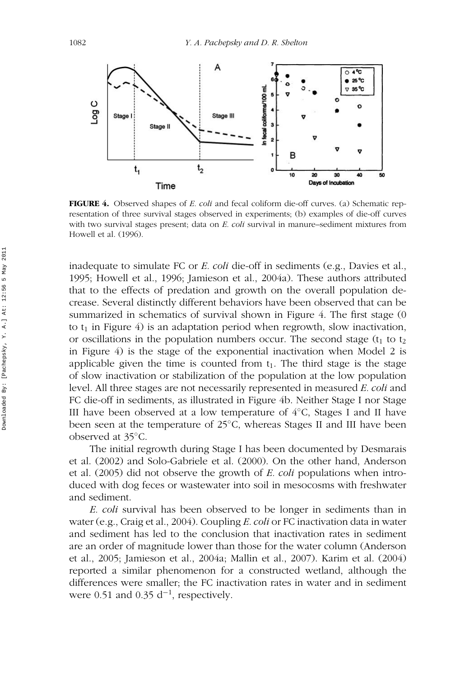

**FIGURE 4.** Observed shapes of *E. coli* and fecal coliform die-off curves. (a) Schematic representation of three survival stages observed in experiments; (b) examples of die-off curves with two survival stages present; data on *E. coli* survival in manure–sediment mixtures from Howell et al. (1996).

inadequate to simulate FC or *E. coli* die-off in sediments (e.g., Davies et al., 1995; Howell et al., 1996; Jamieson et al., 2004a). These authors attributed that to the effects of predation and growth on the overall population decrease. Several distinctly different behaviors have been observed that can be summarized in schematics of survival shown in Figure 4. The first stage (0 to  $t_1$  in Figure 4) is an adaptation period when regrowth, slow inactivation, or oscillations in the population numbers occur. The second stage  $(t_1$  to  $t_2$ in Figure 4) is the stage of the exponential inactivation when Model 2 is applicable given the time is counted from  $t_1$ . The third stage is the stage of slow inactivation or stabilization of the population at the low population level. All three stages are not necessarily represented in measured *E. coli* and FC die-off in sediments, as illustrated in Figure 4b. Neither Stage I nor Stage III have been observed at a low temperature of 4◦C, Stages I and II have been seen at the temperature of 25◦C, whereas Stages II and III have been observed at 35◦C.

The initial regrowth during Stage I has been documented by Desmarais et al. (2002) and Solo-Gabriele et al. (2000). On the other hand, Anderson et al. (2005) did not observe the growth of *E. coli* populations when introduced with dog feces or wastewater into soil in mesocosms with freshwater and sediment.

*E. coli* survival has been observed to be longer in sediments than in water (e.g., Craig et al., 2004). Coupling *E. coli* or FC inactivation data in water and sediment has led to the conclusion that inactivation rates in sediment are an order of magnitude lower than those for the water column (Anderson et al., 2005; Jamieson et al., 2004a; Mallin et al., 2007). Karim et al. (2004) reported a similar phenomenon for a constructed wetland, although the differences were smaller; the FC inactivation rates in water and in sediment were 0.51 and 0.35  $d^{-1}$ , respectively.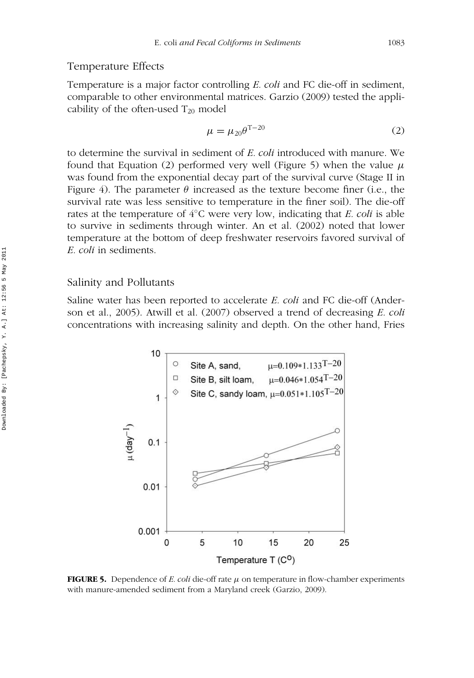## Temperature Effects

Temperature is a major factor controlling *E. coli* and FC die-off in sediment, comparable to other environmental matrices. Garzio (2009) tested the applicability of the often-used  $T_{20}$  model

$$
\mu = \mu_{20} \theta^{T-20} \tag{2}
$$

to determine the survival in sediment of *E. coli* introduced with manure. We found that Equation (2) performed very well (Figure 5) when the value  $\mu$ was found from the exponential decay part of the survival curve (Stage II in Figure 4). The parameter  $\theta$  increased as the texture become finer (i.e., the survival rate was less sensitive to temperature in the finer soil). The die-off rates at the temperature of 4◦C were very low, indicating that *E. coli* is able to survive in sediments through winter. An et al. (2002) noted that lower temperature at the bottom of deep freshwater reservoirs favored survival of *E. coli* in sediments.

#### Salinity and Pollutants

Saline water has been reported to accelerate *E. coli* and FC die-off (Anderson et al., 2005). Atwill et al. (2007) observed a trend of decreasing *E. coli* concentrations with increasing salinity and depth. On the other hand, Fries



**FIGURE 5.** Dependence of *E. coli* die-off rate  $\mu$  on temperature in flow-chamber experiments with manure-amended sediment from a Maryland creek (Garzio, 2009).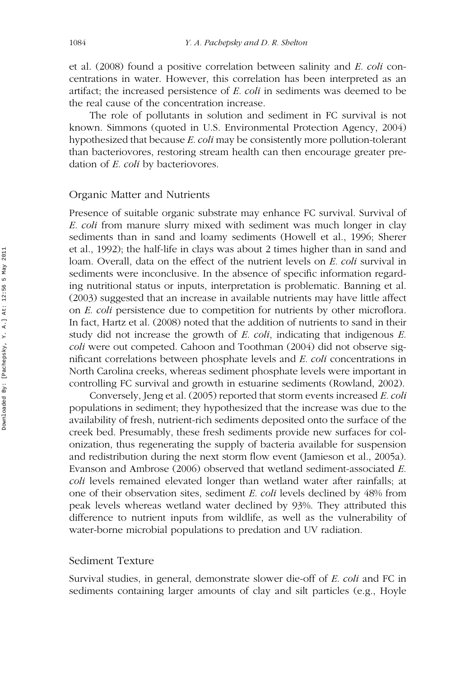et al. (2008) found a positive correlation between salinity and *E. coli* concentrations in water. However, this correlation has been interpreted as an artifact; the increased persistence of *E. coli* in sediments was deemed to be the real cause of the concentration increase.

The role of pollutants in solution and sediment in FC survival is not known. Simmons (quoted in U.S. Environmental Protection Agency, 2004) hypothesized that because *E. coli* may be consistently more pollution-tolerant than bacteriovores, restoring stream health can then encourage greater predation of *E. coli* by bacteriovores.

#### Organic Matter and Nutrients

Presence of suitable organic substrate may enhance FC survival. Survival of *E. coli* from manure slurry mixed with sediment was much longer in clay sediments than in sand and loamy sediments (Howell et al., 1996; Sherer et al., 1992); the half-life in clays was about 2 times higher than in sand and loam. Overall, data on the effect of the nutrient levels on *E. coli* survival in sediments were inconclusive. In the absence of specific information regarding nutritional status or inputs, interpretation is problematic. Banning et al. (2003) suggested that an increase in available nutrients may have little affect on *E. coli* persistence due to competition for nutrients by other microflora. In fact, Hartz et al. (2008) noted that the addition of nutrients to sand in their study did not increase the growth of *E. coli*, indicating that indigenous *E. coli* were out competed. Cahoon and Toothman (2004) did not observe significant correlations between phosphate levels and *E. coli* concentrations in North Carolina creeks, whereas sediment phosphate levels were important in controlling FC survival and growth in estuarine sediments (Rowland, 2002).

Conversely, Jeng et al. (2005) reported that storm events increased *E. coli* populations in sediment; they hypothesized that the increase was due to the availability of fresh, nutrient-rich sediments deposited onto the surface of the creek bed. Presumably, these fresh sediments provide new surfaces for colonization, thus regenerating the supply of bacteria available for suspension and redistribution during the next storm flow event (Jamieson et al., 2005a). Evanson and Ambrose (2006) observed that wetland sediment-associated *E. coli* levels remained elevated longer than wetland water after rainfalls; at one of their observation sites, sediment *E. coli* levels declined by 48% from peak levels whereas wetland water declined by 93%. They attributed this difference to nutrient inputs from wildlife, as well as the vulnerability of water-borne microbial populations to predation and UV radiation.

#### Sediment Texture

Survival studies, in general, demonstrate slower die-off of *E. coli* and FC in sediments containing larger amounts of clay and silt particles (e.g., Hoyle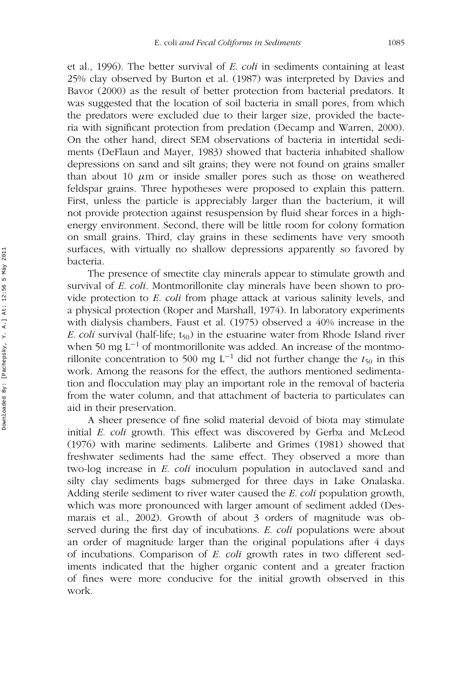et al., 1996). The better survival of *E. coli* in sediments containing at least 25% clay observed by Burton et al. (1987) was interpreted by Davies and Bavor (2000) as the result of better protection from bacterial predators. It was suggested that the location of soil bacteria in small pores, from which the predators were excluded due to their larger size, provided the bacteria with significant protection from predation (Decamp and Warren, 2000). On the other hand, direct SEM observations of bacteria in intertidal sediments (DeFlaun and Mayer, 1983) showed that bacteria inhabited shallow depressions on sand and silt grains; they were not found on grains smaller than about 10  $\mu$ m or inside smaller pores such as those on weathered feldspar grains. Three hypotheses were proposed to explain this pattern. First, unless the particle is appreciably larger than the bacterium, it will not provide protection against resuspension by fluid shear forces in a highenergy environment. Second, there will be little room for colony formation on small grains. Third, clay grains in these sediments have very smooth surfaces, with virtually no shallow depressions apparently so favored by bacteria.

The presence of smectite clay minerals appear to stimulate growth and survival of *E. coli*. Montmorillonite clay minerals have been shown to provide protection to *E. coli* from phage attack at various salinity levels, and a physical protection (Roper and Marshall, 1974). In laboratory experiments with dialysis chambers, Faust et al. (1975) observed a 40% increase in the *E. coli* survival (half-life;  $t_{50}$ ) in the estuarine water from Rhode Island river when 50 mg  $L^{-1}$  of montmorillonite was added. An increase of the montmorillonite concentration to 500 mg L<sup>-1</sup> did not further change the  $t_{50}$  in this work. Among the reasons for the effect, the authors mentioned sedimentation and flocculation may play an important role in the removal of bacteria from the water column, and that attachment of bacteria to particulates can aid in their preservation.

A sheer presence of fine solid material devoid of biota may stimulate initial *E. coli* growth. This effect was discovered by Gerba and McLeod (1976) with marine sediments. Laliberte and Grimes (1981) showed that freshwater sediments had the same effect. They observed a more than two-log increase in *E. coli* inoculum population in autoclaved sand and silty clay sediments bags submerged for three days in Lake Onalaska. Adding sterile sediment to river water caused the *E. coli* population growth, which was more pronounced with larger amount of sediment added (Desmarais et al., 2002). Growth of about 3 orders of magnitude was observed during the first day of incubations. *E. coli* populations were about an order of magnitude larger than the original populations after 4 days of incubations. Comparison of *E. coli* growth rates in two different sediments indicated that the higher organic content and a greater fraction of fines were more conducive for the initial growth observed in this work.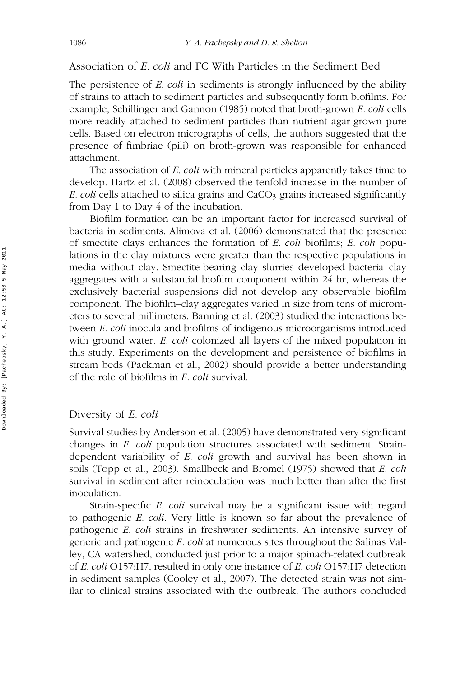#### Association of *E. coli* and FC With Particles in the Sediment Bed

The persistence of *E. coli* in sediments is strongly influenced by the ability of strains to attach to sediment particles and subsequently form biofilms. For example, Schillinger and Gannon (1985) noted that broth-grown *E. coli* cells more readily attached to sediment particles than nutrient agar-grown pure cells. Based on electron micrographs of cells, the authors suggested that the presence of fimbriae (pili) on broth-grown was responsible for enhanced attachment.

The association of *E. coli* with mineral particles apparently takes time to develop. Hartz et al. (2008) observed the tenfold increase in the number of  $E.$  *coli* cells attached to silica grains and  $CaCO<sub>3</sub>$  grains increased significantly from Day 1 to Day 4 of the incubation.

Biofilm formation can be an important factor for increased survival of bacteria in sediments. Alimova et al. (2006) demonstrated that the presence of smectite clays enhances the formation of *E. coli* biofilms; *E. coli* populations in the clay mixtures were greater than the respective populations in media without clay. Smectite-bearing clay slurries developed bacteria–clay aggregates with a substantial biofilm component within 24 hr, whereas the exclusively bacterial suspensions did not develop any observable biofilm component. The biofilm–clay aggregates varied in size from tens of micrometers to several millimeters. Banning et al. (2003) studied the interactions between *E. coli* inocula and biofilms of indigenous microorganisms introduced with ground water. *E. coli* colonized all layers of the mixed population in this study. Experiments on the development and persistence of biofilms in stream beds (Packman et al., 2002) should provide a better understanding of the role of biofilms in *E. coli* survival.

#### Diversity of *E. coli*

Survival studies by Anderson et al. (2005) have demonstrated very significant changes in *E. coli* population structures associated with sediment. Straindependent variability of *E. coli* growth and survival has been shown in soils (Topp et al., 2003). Smallbeck and Bromel (1975) showed that *E. coli* survival in sediment after reinoculation was much better than after the first inoculation.

Strain-specific *E. coli* survival may be a significant issue with regard to pathogenic *E. coli*. Very little is known so far about the prevalence of pathogenic *E. coli* strains in freshwater sediments. An intensive survey of generic and pathogenic *E. coli* at numerous sites throughout the Salinas Valley, CA watershed, conducted just prior to a major spinach-related outbreak of *E. coli* O157:H7, resulted in only one instance of *E. coli* O157:H7 detection in sediment samples (Cooley et al., 2007). The detected strain was not similar to clinical strains associated with the outbreak. The authors concluded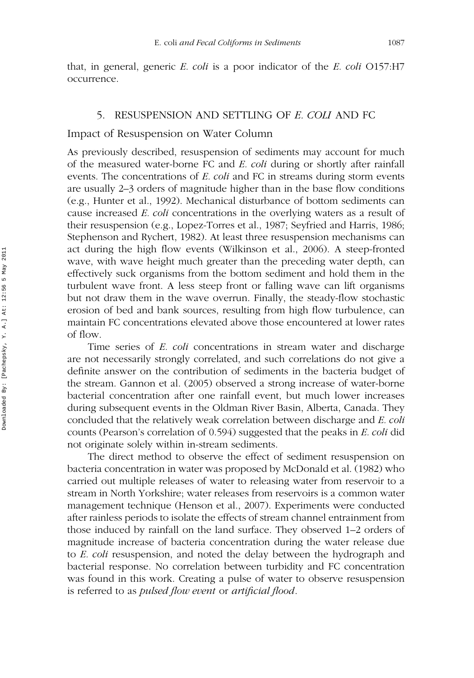that, in general, generic *E. coli* is a poor indicator of the *E. coli* O157:H7 occurrence.

#### 5. RESUSPENSION AND SETTLING OF *E. COLI* AND FC

Impact of Resuspension on Water Column

As previously described, resuspension of sediments may account for much of the measured water-borne FC and *E. coli* during or shortly after rainfall events. The concentrations of *E. coli* and FC in streams during storm events are usually 2–3 orders of magnitude higher than in the base flow conditions (e.g., Hunter et al., 1992). Mechanical disturbance of bottom sediments can cause increased *E. coli* concentrations in the overlying waters as a result of their resuspension (e.g., Lopez-Torres et al., 1987; Seyfried and Harris, 1986; Stephenson and Rychert, 1982). At least three resuspension mechanisms can act during the high flow events (Wilkinson et al., 2006). A steep-fronted wave, with wave height much greater than the preceding water depth, can effectively suck organisms from the bottom sediment and hold them in the turbulent wave front. A less steep front or falling wave can lift organisms but not draw them in the wave overrun. Finally, the steady-flow stochastic erosion of bed and bank sources, resulting from high flow turbulence, can maintain FC concentrations elevated above those encountered at lower rates of flow.

Time series of *E. coli* concentrations in stream water and discharge are not necessarily strongly correlated, and such correlations do not give a definite answer on the contribution of sediments in the bacteria budget of the stream. Gannon et al. (2005) observed a strong increase of water-borne bacterial concentration after one rainfall event, but much lower increases during subsequent events in the Oldman River Basin, Alberta, Canada. They concluded that the relatively weak correlation between discharge and *E. coli* counts (Pearson's correlation of 0.594) suggested that the peaks in *E. coli* did not originate solely within in-stream sediments.

The direct method to observe the effect of sediment resuspension on bacteria concentration in water was proposed by McDonald et al. (1982) who carried out multiple releases of water to releasing water from reservoir to a stream in North Yorkshire; water releases from reservoirs is a common water management technique (Henson et al., 2007). Experiments were conducted after rainless periods to isolate the effects of stream channel entrainment from those induced by rainfall on the land surface. They observed 1–2 orders of magnitude increase of bacteria concentration during the water release due to *E. coli* resuspension, and noted the delay between the hydrograph and bacterial response. No correlation between turbidity and FC concentration was found in this work. Creating a pulse of water to observe resuspension is referred to as *pulsed flow event* or *artificial flood*.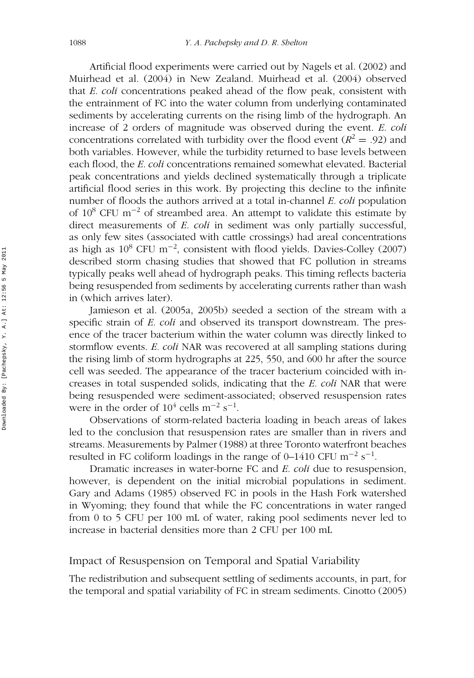Artificial flood experiments were carried out by Nagels et al. (2002) and Muirhead et al. (2004) in New Zealand. Muirhead et al. (2004) observed that *E. coli* concentrations peaked ahead of the flow peak, consistent with the entrainment of FC into the water column from underlying contaminated sediments by accelerating currents on the rising limb of the hydrograph. An increase of 2 orders of magnitude was observed during the event. *E. coli* concentrations correlated with turbidity over the flood event  $(R^2 = .92)$  and both variables. However, while the turbidity returned to base levels between each flood, the *E. coli* concentrations remained somewhat elevated. Bacterial peak concentrations and yields declined systematically through a triplicate artificial flood series in this work. By projecting this decline to the infinite number of floods the authors arrived at a total in-channel *E. coli* population of 10<sup>8</sup> CFU m<sup>-2</sup> of streambed area. An attempt to validate this estimate by direct measurements of *E. coli* in sediment was only partially successful, as only few sites (associated with cattle crossings) had areal concentrations as high as 10<sup>8</sup> CFU m<sup>-2</sup>, consistent with flood yields. Davies-Colley (2007) described storm chasing studies that showed that FC pollution in streams typically peaks well ahead of hydrograph peaks. This timing reflects bacteria being resuspended from sediments by accelerating currents rather than wash in (which arrives later).

Jamieson et al. (2005a, 2005b) seeded a section of the stream with a specific strain of *E. coli* and observed its transport downstream. The presence of the tracer bacterium within the water column was directly linked to stormflow events. *E. coli* NAR was recovered at all sampling stations during the rising limb of storm hydrographs at 225, 550, and 600 hr after the source cell was seeded. The appearance of the tracer bacterium coincided with increases in total suspended solids, indicating that the *E. coli* NAR that were being resuspended were sediment-associated; observed resuspension rates were in the order of  $10^4$  cells m<sup>-2</sup> s<sup>-1</sup>.

Observations of storm-related bacteria loading in beach areas of lakes led to the conclusion that resuspension rates are smaller than in rivers and streams. Measurements by Palmer (1988) at three Toronto waterfront beaches resulted in FC coliform loadings in the range of 0–1410 CFU  $m^{-2} s^{-1}$ .

Dramatic increases in water-borne FC and *E. coli* due to resuspension, however, is dependent on the initial microbial populations in sediment. Gary and Adams (1985) observed FC in pools in the Hash Fork watershed in Wyoming; they found that while the FC concentrations in water ranged from 0 to 5 CFU per 100 mL of water, raking pool sediments never led to increase in bacterial densities more than 2 CFU per 100 mL

#### Impact of Resuspension on Temporal and Spatial Variability

The redistribution and subsequent settling of sediments accounts, in part, for the temporal and spatial variability of FC in stream sediments. Cinotto (2005)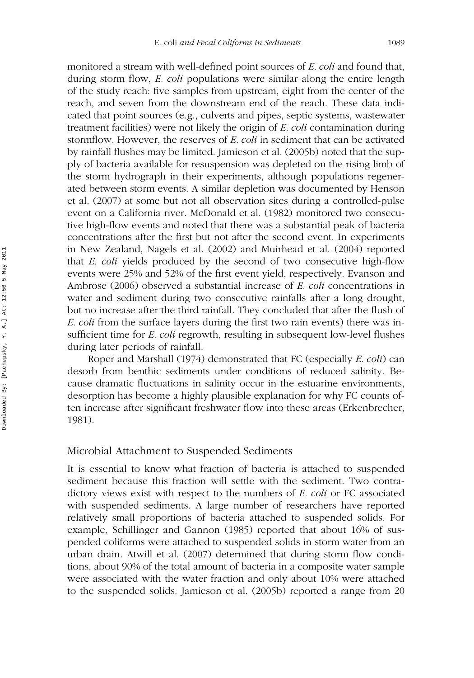monitored a stream with well-defined point sources of *E. coli* and found that, during storm flow, *E. coli* populations were similar along the entire length of the study reach: five samples from upstream, eight from the center of the reach, and seven from the downstream end of the reach. These data indicated that point sources (e.g., culverts and pipes, septic systems, wastewater treatment facilities) were not likely the origin of *E. coli* contamination during stormflow. However, the reserves of *E. coli* in sediment that can be activated by rainfall flushes may be limited. Jamieson et al. (2005b) noted that the supply of bacteria available for resuspension was depleted on the rising limb of the storm hydrograph in their experiments, although populations regenerated between storm events. A similar depletion was documented by Henson et al. (2007) at some but not all observation sites during a controlled-pulse event on a California river. McDonald et al. (1982) monitored two consecutive high-flow events and noted that there was a substantial peak of bacteria concentrations after the first but not after the second event. In experiments in New Zealand, Nagels et al. (2002) and Muirhead et al. (2004) reported that *E. coli* yields produced by the second of two consecutive high-flow events were 25% and 52% of the first event yield, respectively. Evanson and Ambrose (2006) observed a substantial increase of *E. coli* concentrations in water and sediment during two consecutive rainfalls after a long drought, but no increase after the third rainfall. They concluded that after the flush of *E. coli* from the surface layers during the first two rain events) there was insufficient time for *E. coli* regrowth, resulting in subsequent low-level flushes during later periods of rainfall.

Roper and Marshall (1974) demonstrated that FC (especially *E. coli*) can desorb from benthic sediments under conditions of reduced salinity. Because dramatic fluctuations in salinity occur in the estuarine environments, desorption has become a highly plausible explanation for why FC counts often increase after significant freshwater flow into these areas (Erkenbrecher, 1981).

#### Microbial Attachment to Suspended Sediments

It is essential to know what fraction of bacteria is attached to suspended sediment because this fraction will settle with the sediment. Two contradictory views exist with respect to the numbers of *E. coli* or FC associated with suspended sediments. A large number of researchers have reported relatively small proportions of bacteria attached to suspended solids. For example, Schillinger and Gannon (1985) reported that about 16% of suspended coliforms were attached to suspended solids in storm water from an urban drain. Atwill et al. (2007) determined that during storm flow conditions, about 90% of the total amount of bacteria in a composite water sample were associated with the water fraction and only about 10% were attached to the suspended solids. Jamieson et al. (2005b) reported a range from 20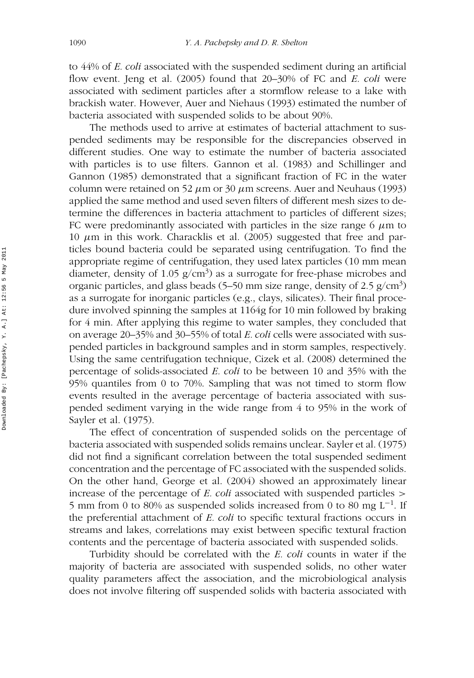to 44% of *E. coli* associated with the suspended sediment during an artificial flow event. Jeng et al. (2005) found that 20–30% of FC and *E. coli* were associated with sediment particles after a stormflow release to a lake with brackish water. However, Auer and Niehaus (1993) estimated the number of bacteria associated with suspended solids to be about 90%.

The methods used to arrive at estimates of bacterial attachment to suspended sediments may be responsible for the discrepancies observed in different studies. One way to estimate the number of bacteria associated with particles is to use filters. Gannon et al. (1983) and Schillinger and Gannon (1985) demonstrated that a significant fraction of FC in the water column were retained on 52  $\mu$ m or 30  $\mu$ m screens. Auer and Neuhaus (1993) applied the same method and used seven filters of different mesh sizes to determine the differences in bacteria attachment to particles of different sizes; FC were predominantly associated with particles in the size range 6  $\mu$ m to 10  $\mu$ m in this work. Characklis et al. (2005) suggested that free and particles bound bacteria could be separated using centrifugation. To find the appropriate regime of centrifugation, they used latex particles (10 mm mean diameter, density of 1.05  $g/cm<sup>3</sup>$ ) as a surrogate for free-phase microbes and organic particles, and glass beads  $(5-50 \text{ mm size range}, \text{ density of } 2.5 \text{ g/cm}^3)$ as a surrogate for inorganic particles (e.g., clays, silicates). Their final procedure involved spinning the samples at 1164g for 10 min followed by braking for 4 min. After applying this regime to water samples, they concluded that on average 20–35% and 30–55% of total *E. coli* cells were associated with suspended particles in background samples and in storm samples, respectively. Using the same centrifugation technique, Cizek et al. (2008) determined the percentage of solids-associated *E. coli* to be between 10 and 35% with the 95% quantiles from 0 to 70%. Sampling that was not timed to storm flow events resulted in the average percentage of bacteria associated with suspended sediment varying in the wide range from 4 to 95% in the work of Sayler et al. (1975).

The effect of concentration of suspended solids on the percentage of bacteria associated with suspended solids remains unclear. Sayler et al. (1975) did not find a significant correlation between the total suspended sediment concentration and the percentage of FC associated with the suspended solids. On the other hand, George et al. (2004) showed an approximately linear increase of the percentage of *E. coli* associated with suspended particles > 5 mm from 0 to 80% as suspended solids increased from 0 to 80 mg  $L^{-1}$ . If the preferential attachment of *E. coli* to specific textural fractions occurs in streams and lakes, correlations may exist between specific textural fraction contents and the percentage of bacteria associated with suspended solids.

Turbidity should be correlated with the *E. coli* counts in water if the majority of bacteria are associated with suspended solids, no other water quality parameters affect the association, and the microbiological analysis does not involve filtering off suspended solids with bacteria associated with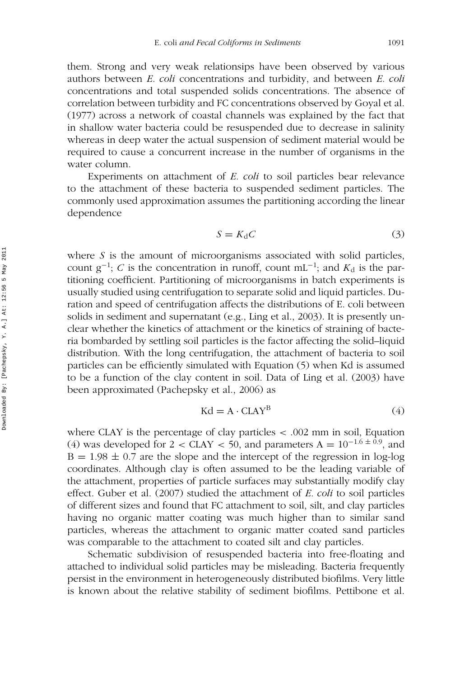them. Strong and very weak relationsips have been observed by various authors between *E. coli* concentrations and turbidity, and between *E. coli* concentrations and total suspended solids concentrations. The absence of correlation between turbidity and FC concentrations observed by Goyal et al. (1977) across a network of coastal channels was explained by the fact that in shallow water bacteria could be resuspended due to decrease in salinity whereas in deep water the actual suspension of sediment material would be required to cause a concurrent increase in the number of organisms in the water column.

Experiments on attachment of *E. coli* to soil particles bear relevance to the attachment of these bacteria to suspended sediment particles. The commonly used approximation assumes the partitioning according the linear dependence

$$
S = K_{\rm d}C \tag{3}
$$

where *S* is the amount of microorganisms associated with solid particles, count  $g^{-1}$ ; *C* is the concentration in runoff, count mL<sup>-1</sup>; and  $K_d$  is the partitioning coefficient. Partitioning of microorganisms in batch experiments is usually studied using centrifugation to separate solid and liquid particles. Duration and speed of centrifugation affects the distributions of E. coli between solids in sediment and supernatant (e.g., Ling et al., 2003). It is presently unclear whether the kinetics of attachment or the kinetics of straining of bacteria bombarded by settling soil particles is the factor affecting the solid–liquid distribution. With the long centrifugation, the attachment of bacteria to soil particles can be efficiently simulated with Equation (5) when Kd is assumed to be a function of the clay content in soil. Data of Ling et al. (2003) have been approximated (Pachepsky et al., 2006) as

$$
Kd = A \cdot CLAY^B
$$
 (4)

where CLAY is the percentage of clay particles  $\lt$  .002 mm in soil, Equation (4) was developed for 2 < CLAY < 50, and parameters  $A = 10^{-1.6 \pm 0.9}$ , and  $B = 1.98 \pm 0.7$  are the slope and the intercept of the regression in log-log coordinates. Although clay is often assumed to be the leading variable of the attachment, properties of particle surfaces may substantially modify clay effect. Guber et al. (2007) studied the attachment of *E. coli* to soil particles of different sizes and found that FC attachment to soil, silt, and clay particles having no organic matter coating was much higher than to similar sand particles, whereas the attachment to organic matter coated sand particles was comparable to the attachment to coated silt and clay particles.

Schematic subdivision of resuspended bacteria into free-floating and attached to individual solid particles may be misleading. Bacteria frequently persist in the environment in heterogeneously distributed biofilms. Very little is known about the relative stability of sediment biofilms. Pettibone et al.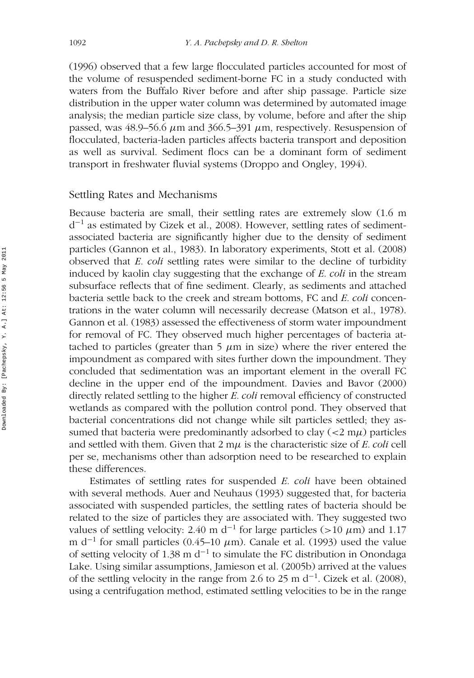(1996) observed that a few large flocculated particles accounted for most of the volume of resuspended sediment-borne FC in a study conducted with waters from the Buffalo River before and after ship passage. Particle size distribution in the upper water column was determined by automated image analysis; the median particle size class, by volume, before and after the ship passed, was 48.9–56.6  $\mu$ m and 366.5–391  $\mu$ m, respectively. Resuspension of flocculated, bacteria-laden particles affects bacteria transport and deposition as well as survival. Sediment flocs can be a dominant form of sediment transport in freshwater fluvial systems (Droppo and Ongley, 1994).

#### Settling Rates and Mechanisms

Because bacteria are small, their settling rates are extremely slow (1.6 m d−<sup>1</sup> as estimated by Cizek et al., 2008). However, settling rates of sedimentassociated bacteria are significantly higher due to the density of sediment particles (Gannon et al., 1983). In laboratory experiments, Stott et al. (2008) observed that *E. coli* settling rates were similar to the decline of turbidity induced by kaolin clay suggesting that the exchange of *E. coli* in the stream subsurface reflects that of fine sediment. Clearly, as sediments and attached bacteria settle back to the creek and stream bottoms, FC and *E. coli* concentrations in the water column will necessarily decrease (Matson et al., 1978). Gannon et al. (1983) assessed the effectiveness of storm water impoundment for removal of FC. They observed much higher percentages of bacteria attached to particles (greater than  $5 \mu m$  in size) where the river entered the impoundment as compared with sites further down the impoundment. They concluded that sedimentation was an important element in the overall FC decline in the upper end of the impoundment. Davies and Bavor (2000) directly related settling to the higher *E. coli* removal efficiency of constructed wetlands as compared with the pollution control pond. They observed that bacterial concentrations did not change while silt particles settled; they assumed that bacteria were predominantly adsorbed to clay  $(< 2 \text{ m}\mu$ ) particles and settled with them. Given that  $2 \text{ m}\mu$  is the characteristic size of *E. coli* cell per se, mechanisms other than adsorption need to be researched to explain these differences.

Estimates of settling rates for suspended *E. coli* have been obtained with several methods. Auer and Neuhaus (1993) suggested that, for bacteria associated with suspended particles, the settling rates of bacteria should be related to the size of particles they are associated with. They suggested two values of settling velocity: 2.40 m d<sup>-1</sup> for large particles (>10  $\mu$ m) and 1.17 m d<sup>-1</sup> for small particles (0.45–10  $\mu$ m). Canale et al. (1993) used the value of setting velocity of 1.38 m d<sup>-1</sup> to simulate the FC distribution in Onondaga Lake. Using similar assumptions, Jamieson et al. (2005b) arrived at the values of the settling velocity in the range from 2.6 to 25 m d<sup>-1</sup>. Cizek et al. (2008), using a centrifugation method, estimated settling velocities to be in the range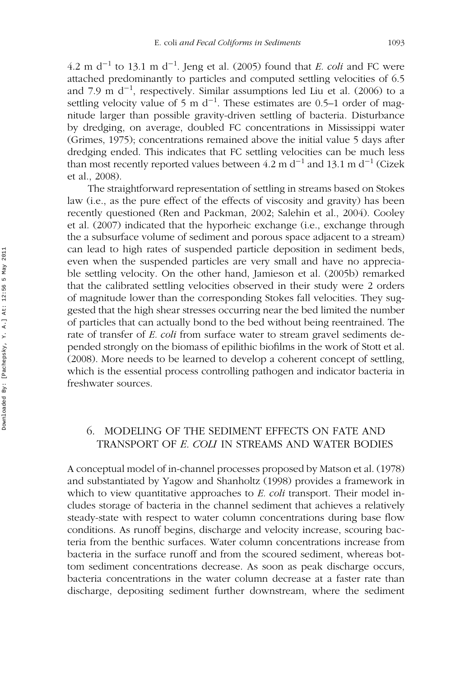4.2 m d−<sup>1</sup> to 13.1 m d−<sup>1</sup> . Jeng et al. (2005) found that *E. coli* and FC were attached predominantly to particles and computed settling velocities of 6.5 and 7.9 m d−<sup>1</sup> , respectively. Similar assumptions led Liu et al. (2006) to a settling velocity value of 5 m  $d^{-1}$ . These estimates are 0.5–1 order of magnitude larger than possible gravity-driven settling of bacteria. Disturbance by dredging, on average, doubled FC concentrations in Mississippi water (Grimes, 1975); concentrations remained above the initial value 5 days after dredging ended. This indicates that FC settling velocities can be much less than most recently reported values between 4.2 m d<sup>-1</sup> and 13.1 m d<sup>-1</sup> (Cizek et al., 2008).

The straightforward representation of settling in streams based on Stokes law (i.e., as the pure effect of the effects of viscosity and gravity) has been recently questioned (Ren and Packman, 2002; Salehin et al., 2004). Cooley et al. (2007) indicated that the hyporheic exchange (i.e., exchange through the a subsurface volume of sediment and porous space adjacent to a stream) can lead to high rates of suspended particle deposition in sediment beds, even when the suspended particles are very small and have no appreciable settling velocity. On the other hand, Jamieson et al. (2005b) remarked that the calibrated settling velocities observed in their study were 2 orders of magnitude lower than the corresponding Stokes fall velocities. They suggested that the high shear stresses occurring near the bed limited the number of particles that can actually bond to the bed without being reentrained. The rate of transfer of *E. coli* from surface water to stream gravel sediments depended strongly on the biomass of epilithic biofilms in the work of Stott et al. (2008). More needs to be learned to develop a coherent concept of settling, which is the essential process controlling pathogen and indicator bacteria in freshwater sources.

## 6. MODELING OF THE SEDIMENT EFFECTS ON FATE AND TRANSPORT OF *E. COLI* IN STREAMS AND WATER BODIES

A conceptual model of in-channel processes proposed by Matson et al. (1978) and substantiated by Yagow and Shanholtz (1998) provides a framework in which to view quantitative approaches to *E. coli* transport. Their model includes storage of bacteria in the channel sediment that achieves a relatively steady-state with respect to water column concentrations during base flow conditions. As runoff begins, discharge and velocity increase, scouring bacteria from the benthic surfaces. Water column concentrations increase from bacteria in the surface runoff and from the scoured sediment, whereas bottom sediment concentrations decrease. As soon as peak discharge occurs, bacteria concentrations in the water column decrease at a faster rate than discharge, depositing sediment further downstream, where the sediment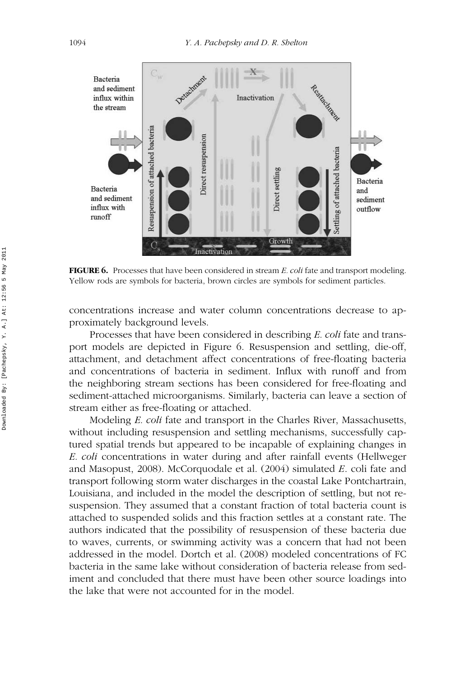

**FIGURE 6.** Processes that have been considered in stream *E. coli* fate and transport modeling. Yellow rods are symbols for bacteria, brown circles are symbols for sediment particles.

concentrations increase and water column concentrations decrease to approximately background levels.

Processes that have been considered in describing *E. coli* fate and transport models are depicted in Figure 6. Resuspension and settling, die-off, attachment, and detachment affect concentrations of free-floating bacteria and concentrations of bacteria in sediment. Influx with runoff and from the neighboring stream sections has been considered for free-floating and sediment-attached microorganisms. Similarly, bacteria can leave a section of stream either as free-floating or attached.

Modeling *E. coli* fate and transport in the Charles River, Massachusetts, without including resuspension and settling mechanisms, successfully captured spatial trends but appeared to be incapable of explaining changes in *E. coli* concentrations in water during and after rainfall events (Hellweger and Masopust, 2008). McCorquodale et al. (2004) simulated *E*. coli fate and transport following storm water discharges in the coastal Lake Pontchartrain, Louisiana, and included in the model the description of settling, but not resuspension. They assumed that a constant fraction of total bacteria count is attached to suspended solids and this fraction settles at a constant rate. The authors indicated that the possibility of resuspension of these bacteria due to waves, currents, or swimming activity was a concern that had not been addressed in the model. Dortch et al. (2008) modeled concentrations of FC bacteria in the same lake without consideration of bacteria release from sediment and concluded that there must have been other source loadings into the lake that were not accounted for in the model.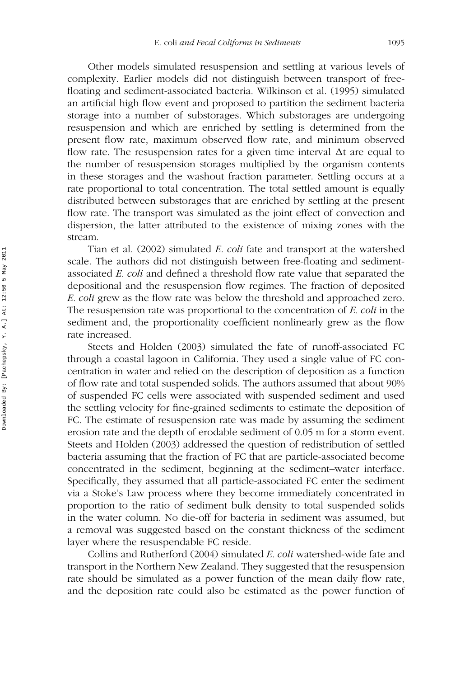Other models simulated resuspension and settling at various levels of complexity. Earlier models did not distinguish between transport of freefloating and sediment-associated bacteria. Wilkinson et al. (1995) simulated an artificial high flow event and proposed to partition the sediment bacteria storage into a number of substorages. Which substorages are undergoing resuspension and which are enriched by settling is determined from the present flow rate, maximum observed flow rate, and minimum observed flow rate. The resuspension rates for a given time interval  $\Delta t$  are equal to the number of resuspension storages multiplied by the organism contents in these storages and the washout fraction parameter. Settling occurs at a rate proportional to total concentration. The total settled amount is equally distributed between substorages that are enriched by settling at the present flow rate. The transport was simulated as the joint effect of convection and dispersion, the latter attributed to the existence of mixing zones with the stream.

Tian et al. (2002) simulated *E. coli* fate and transport at the watershed scale. The authors did not distinguish between free-floating and sedimentassociated *E. coli* and defined a threshold flow rate value that separated the depositional and the resuspension flow regimes. The fraction of deposited *E. coli* grew as the flow rate was below the threshold and approached zero. The resuspension rate was proportional to the concentration of *E. coli* in the sediment and, the proportionality coefficient nonlinearly grew as the flow rate increased.

Steets and Holden (2003) simulated the fate of runoff-associated FC through a coastal lagoon in California. They used a single value of FC concentration in water and relied on the description of deposition as a function of flow rate and total suspended solids. The authors assumed that about 90% of suspended FC cells were associated with suspended sediment and used the settling velocity for fine-grained sediments to estimate the deposition of FC. The estimate of resuspension rate was made by assuming the sediment erosion rate and the depth of erodable sediment of 0.05 m for a storm event. Steets and Holden (2003) addressed the question of redistribution of settled bacteria assuming that the fraction of FC that are particle-associated become concentrated in the sediment, beginning at the sediment–water interface. Specifically, they assumed that all particle-associated FC enter the sediment via a Stoke's Law process where they become immediately concentrated in proportion to the ratio of sediment bulk density to total suspended solids in the water column. No die-off for bacteria in sediment was assumed, but a removal was suggested based on the constant thickness of the sediment layer where the resuspendable FC reside.

Collins and Rutherford (2004) simulated *E. coli* watershed-wide fate and transport in the Northern New Zealand. They suggested that the resuspension rate should be simulated as a power function of the mean daily flow rate, and the deposition rate could also be estimated as the power function of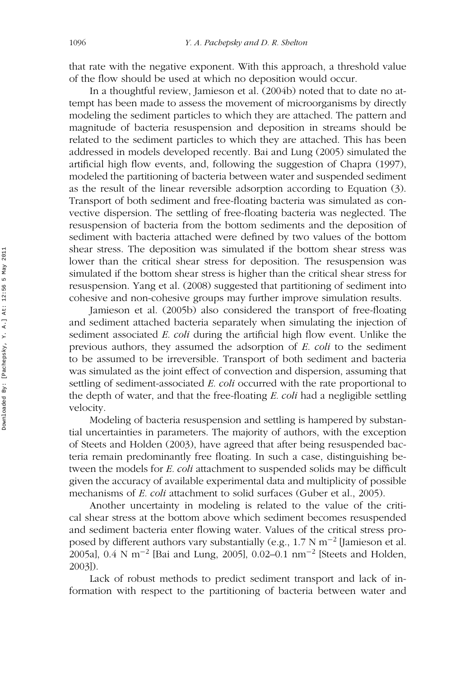that rate with the negative exponent. With this approach, a threshold value of the flow should be used at which no deposition would occur.

In a thoughtful review, Jamieson et al. (2004b) noted that to date no attempt has been made to assess the movement of microorganisms by directly modeling the sediment particles to which they are attached. The pattern and magnitude of bacteria resuspension and deposition in streams should be related to the sediment particles to which they are attached. This has been addressed in models developed recently. Bai and Lung (2005) simulated the artificial high flow events, and, following the suggestion of Chapra (1997), modeled the partitioning of bacteria between water and suspended sediment as the result of the linear reversible adsorption according to Equation (3). Transport of both sediment and free-floating bacteria was simulated as convective dispersion. The settling of free-floating bacteria was neglected. The resuspension of bacteria from the bottom sediments and the deposition of sediment with bacteria attached were defined by two values of the bottom shear stress. The deposition was simulated if the bottom shear stress was lower than the critical shear stress for deposition. The resuspension was simulated if the bottom shear stress is higher than the critical shear stress for resuspension. Yang et al. (2008) suggested that partitioning of sediment into cohesive and non-cohesive groups may further improve simulation results.

Jamieson et al. (2005b) also considered the transport of free-floating and sediment attached bacteria separately when simulating the injection of sediment associated *E. coli* during the artificial high flow event. Unlike the previous authors, they assumed the adsorption of *E. coli* to the sediment to be assumed to be irreversible. Transport of both sediment and bacteria was simulated as the joint effect of convection and dispersion, assuming that settling of sediment-associated *E. coli* occurred with the rate proportional to the depth of water, and that the free-floating *E. coli* had a negligible settling velocity.

Modeling of bacteria resuspension and settling is hampered by substantial uncertainties in parameters. The majority of authors, with the exception of Steets and Holden (2003), have agreed that after being resuspended bacteria remain predominantly free floating. In such a case, distinguishing between the models for *E. coli* attachment to suspended solids may be difficult given the accuracy of available experimental data and multiplicity of possible mechanisms of *E. coli* attachment to solid surfaces (Guber et al., 2005).

Another uncertainty in modeling is related to the value of the critical shear stress at the bottom above which sediment becomes resuspended and sediment bacteria enter flowing water. Values of the critical stress proposed by different authors vary substantially (e.g., 1.7 N m−<sup>2</sup> [Jamieson et al. 2005a], 0.4 N m<sup>-2</sup> [Bai and Lung, 2005], 0.02–0.1 nm<sup>-2</sup> [Steets and Holden, 2003]).

Lack of robust methods to predict sediment transport and lack of information with respect to the partitioning of bacteria between water and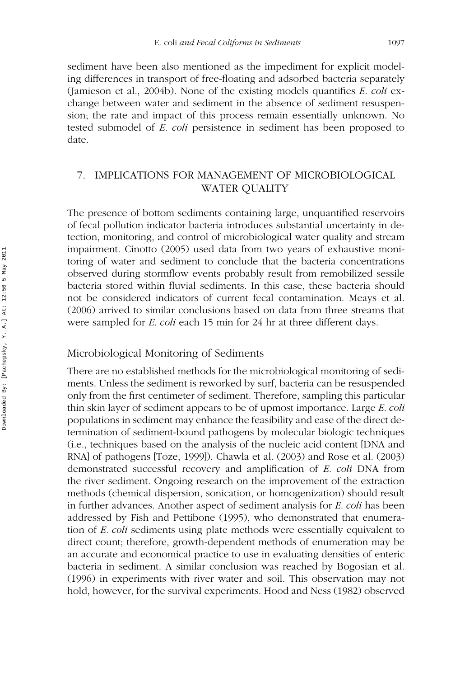sediment have been also mentioned as the impediment for explicit modeling differences in transport of free-floating and adsorbed bacteria separately (Jamieson et al., 2004b). None of the existing models quantifies *E. coli* exchange between water and sediment in the absence of sediment resuspension; the rate and impact of this process remain essentially unknown. No tested submodel of *E. coli* persistence in sediment has been proposed to date.

## 7. IMPLICATIONS FOR MANAGEMENT OF MICROBIOLOGICAL WATER QUALITY

The presence of bottom sediments containing large, unquantified reservoirs of fecal pollution indicator bacteria introduces substantial uncertainty in detection, monitoring, and control of microbiological water quality and stream impairment. Cinotto (2005) used data from two years of exhaustive monitoring of water and sediment to conclude that the bacteria concentrations observed during stormflow events probably result from remobilized sessile bacteria stored within fluvial sediments. In this case, these bacteria should not be considered indicators of current fecal contamination. Meays et al. (2006) arrived to similar conclusions based on data from three streams that were sampled for *E. coli* each 15 min for 24 hr at three different days.

## Microbiological Monitoring of Sediments

There are no established methods for the microbiological monitoring of sediments. Unless the sediment is reworked by surf, bacteria can be resuspended only from the first centimeter of sediment. Therefore, sampling this particular thin skin layer of sediment appears to be of upmost importance. Large *E. coli* populations in sediment may enhance the feasibility and ease of the direct determination of sediment-bound pathogens by molecular biologic techniques (i.e., techniques based on the analysis of the nucleic acid content [DNA and RNA] of pathogens [Toze, 1999]). Chawla et al. (2003) and Rose et al. (2003) demonstrated successful recovery and amplification of *E. coli* DNA from the river sediment. Ongoing research on the improvement of the extraction methods (chemical dispersion, sonication, or homogenization) should result in further advances. Another aspect of sediment analysis for *E. coli* has been addressed by Fish and Pettibone (1995), who demonstrated that enumeration of *E. coli* sediments using plate methods were essentially equivalent to direct count; therefore, growth-dependent methods of enumeration may be an accurate and economical practice to use in evaluating densities of enteric bacteria in sediment. A similar conclusion was reached by Bogosian et al. (1996) in experiments with river water and soil. This observation may not hold, however, for the survival experiments. Hood and Ness (1982) observed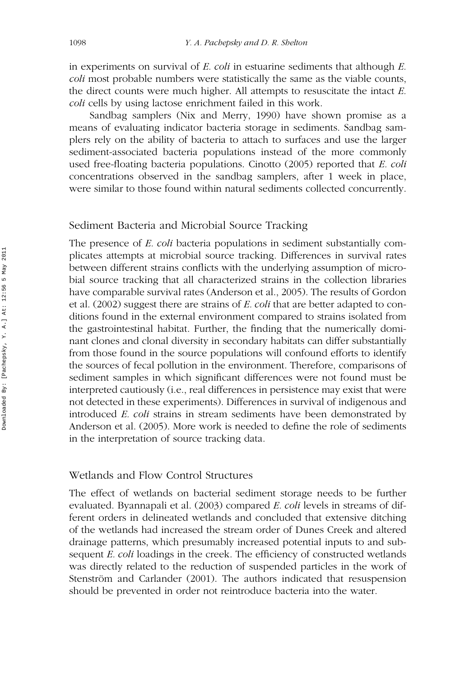in experiments on survival of *E. coli* in estuarine sediments that although *E. coli* most probable numbers were statistically the same as the viable counts, the direct counts were much higher. All attempts to resuscitate the intact *E. coli* cells by using lactose enrichment failed in this work.

Sandbag samplers (Nix and Merry, 1990) have shown promise as a means of evaluating indicator bacteria storage in sediments. Sandbag samplers rely on the ability of bacteria to attach to surfaces and use the larger sediment-associated bacteria populations instead of the more commonly used free-floating bacteria populations. Cinotto (2005) reported that *E. coli* concentrations observed in the sandbag samplers, after 1 week in place, were similar to those found within natural sediments collected concurrently.

#### Sediment Bacteria and Microbial Source Tracking

The presence of *E. coli* bacteria populations in sediment substantially complicates attempts at microbial source tracking. Differences in survival rates between different strains conflicts with the underlying assumption of microbial source tracking that all characterized strains in the collection libraries have comparable survival rates (Anderson et al., 2005). The results of Gordon et al. (2002) suggest there are strains of *E. coli* that are better adapted to conditions found in the external environment compared to strains isolated from the gastrointestinal habitat. Further, the finding that the numerically dominant clones and clonal diversity in secondary habitats can differ substantially from those found in the source populations will confound efforts to identify the sources of fecal pollution in the environment. Therefore, comparisons of sediment samples in which significant differences were not found must be interpreted cautiously (i.e., real differences in persistence may exist that were not detected in these experiments). Differences in survival of indigenous and introduced *E. coli* strains in stream sediments have been demonstrated by Anderson et al. (2005). More work is needed to define the role of sediments in the interpretation of source tracking data.

#### Wetlands and Flow Control Structures

The effect of wetlands on bacterial sediment storage needs to be further evaluated. Byannapali et al. (2003) compared *E. coli* levels in streams of different orders in delineated wetlands and concluded that extensive ditching of the wetlands had increased the stream order of Dunes Creek and altered drainage patterns, which presumably increased potential inputs to and subsequent *E. coli* loadings in the creek. The efficiency of constructed wetlands was directly related to the reduction of suspended particles in the work of Stenström and Carlander (2001). The authors indicated that resuspension should be prevented in order not reintroduce bacteria into the water.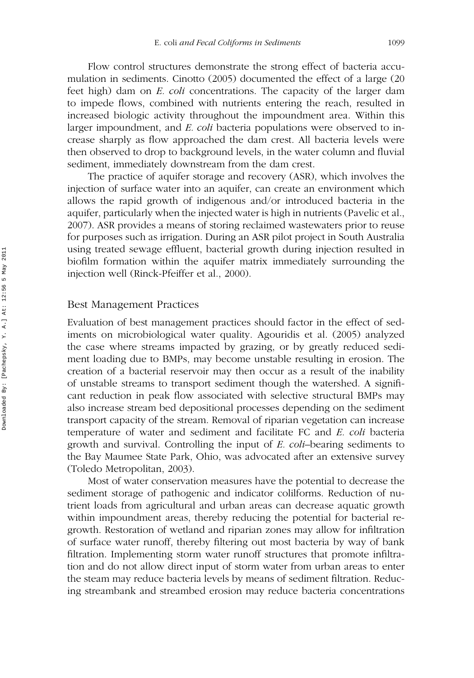Flow control structures demonstrate the strong effect of bacteria accumulation in sediments. Cinotto (2005) documented the effect of a large (20 feet high) dam on *E. coli* concentrations. The capacity of the larger dam to impede flows, combined with nutrients entering the reach, resulted in increased biologic activity throughout the impoundment area. Within this larger impoundment, and *E. coli* bacteria populations were observed to increase sharply as flow approached the dam crest. All bacteria levels were then observed to drop to background levels, in the water column and fluvial sediment, immediately downstream from the dam crest.

The practice of aquifer storage and recovery (ASR), which involves the injection of surface water into an aquifer, can create an environment which allows the rapid growth of indigenous and/or introduced bacteria in the aquifer, particularly when the injected water is high in nutrients (Pavelic et al., 2007). ASR provides a means of storing reclaimed wastewaters prior to reuse for purposes such as irrigation. During an ASR pilot project in South Australia using treated sewage effluent, bacterial growth during injection resulted in biofilm formation within the aquifer matrix immediately surrounding the injection well (Rinck-Pfeiffer et al., 2000).

#### Best Management Practices

Evaluation of best management practices should factor in the effect of sediments on microbiological water quality. Agouridis et al. (2005) analyzed the case where streams impacted by grazing, or by greatly reduced sediment loading due to BMPs, may become unstable resulting in erosion. The creation of a bacterial reservoir may then occur as a result of the inability of unstable streams to transport sediment though the watershed. A significant reduction in peak flow associated with selective structural BMPs may also increase stream bed depositional processes depending on the sediment transport capacity of the stream. Removal of riparian vegetation can increase temperature of water and sediment and facilitate FC and *E. coli* bacteria growth and survival. Controlling the input of *E. coli*–bearing sediments to the Bay Maumee State Park, Ohio, was advocated after an extensive survey (Toledo Metropolitan, 2003).

Most of water conservation measures have the potential to decrease the sediment storage of pathogenic and indicator colilforms. Reduction of nutrient loads from agricultural and urban areas can decrease aquatic growth within impoundment areas, thereby reducing the potential for bacterial regrowth. Restoration of wetland and riparian zones may allow for infiltration of surface water runoff, thereby filtering out most bacteria by way of bank filtration. Implementing storm water runoff structures that promote infiltration and do not allow direct input of storm water from urban areas to enter the steam may reduce bacteria levels by means of sediment filtration. Reducing streambank and streambed erosion may reduce bacteria concentrations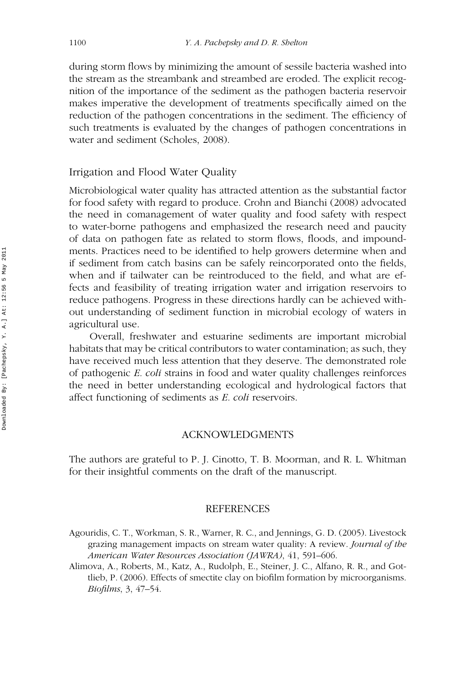during storm flows by minimizing the amount of sessile bacteria washed into the stream as the streambank and streambed are eroded. The explicit recognition of the importance of the sediment as the pathogen bacteria reservoir makes imperative the development of treatments specifically aimed on the reduction of the pathogen concentrations in the sediment. The efficiency of such treatments is evaluated by the changes of pathogen concentrations in water and sediment (Scholes, 2008).

#### Irrigation and Flood Water Quality

Microbiological water quality has attracted attention as the substantial factor for food safety with regard to produce. Crohn and Bianchi (2008) advocated the need in comanagement of water quality and food safety with respect to water-borne pathogens and emphasized the research need and paucity of data on pathogen fate as related to storm flows, floods, and impoundments. Practices need to be identified to help growers determine when and if sediment from catch basins can be safely reincorporated onto the fields, when and if tailwater can be reintroduced to the field, and what are effects and feasibility of treating irrigation water and irrigation reservoirs to reduce pathogens. Progress in these directions hardly can be achieved without understanding of sediment function in microbial ecology of waters in agricultural use.

Overall, freshwater and estuarine sediments are important microbial habitats that may be critical contributors to water contamination; as such, they have received much less attention that they deserve. The demonstrated role of pathogenic *E. coli* strains in food and water quality challenges reinforces the need in better understanding ecological and hydrological factors that affect functioning of sediments as *E. coli* reservoirs.

#### ACKNOWLEDGMENTS

The authors are grateful to P. J. Cinotto, T. B. Moorman, and R. L. Whitman for their insightful comments on the draft of the manuscript.

#### **REFERENCES**

- Agouridis, C. T., Workman, S. R., Warner, R. C., and Jennings, G. D. (2005). Livestock grazing management impacts on stream water quality: A review. *Journal of the American Water Resources Association (JAWRA)*, 41, 591–606.
- Alimova, A., Roberts, M., Katz, A., Rudolph, E., Steiner, J. C., Alfano, R. R., and Gottlieb, P. (2006). Effects of smectite clay on biofilm formation by microorganisms. *Biofilms*, 3, 47–54.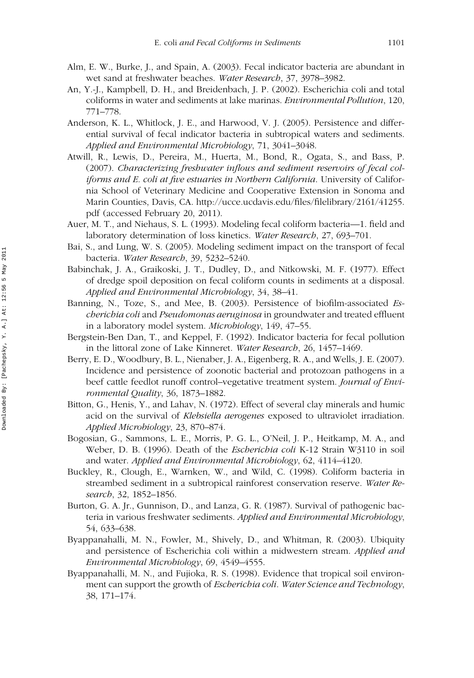- Alm, E. W., Burke, J., and Spain, A. (2003). Fecal indicator bacteria are abundant in wet sand at freshwater beaches. *Water Research*, 37, 3978–3982.
- An, Y.-J., Kampbell, D. H., and Breidenbach, J. P. (2002). Escherichia coli and total coliforms in water and sediments at lake marinas. *Environmental Pollution*, 120, 771–778.
- Anderson, K. L., Whitlock, J. E., and Harwood, V. J. (2005). Persistence and differential survival of fecal indicator bacteria in subtropical waters and sediments. *Applied and Environmental Microbiology*, 71, 3041–3048.
- Atwill, R., Lewis, D., Pereira, M., Huerta, M., Bond, R., Ogata, S., and Bass, P. (2007). *Characterizing freshwater inflows and sediment reservoirs of fecal coliforms and E. coli at five estuaries in Northern California*. University of California School of Veterinary Medicine and Cooperative Extension in Sonoma and Marin Counties, Davis, CA. [http://ucce.ucdavis.edu/files/filelibrary/2161/41255.](http://ucce.ucdavis.edu/files/filelibrary/2161/41255.pdf) [pdf](http://ucce.ucdavis.edu/files/filelibrary/2161/41255.pdf) (accessed February 20, 2011).
- Auer, M. T., and Niehaus, S. L. (1993). Modeling fecal coliform bacteria—1. field and laboratory determination of loss kinetics. *Water Research*, 27, 693–701.
- Bai, S., and Lung, W. S. (2005). Modeling sediment impact on the transport of fecal bacteria. *Water Research*, 39, 5232–5240.
- Babinchak, J. A., Graikoski, J. T., Dudley, D., and Nitkowski, M. F. (1977). Effect of dredge spoil deposition on fecal coliform counts in sediments at a disposal. *Applied and Environmental Microbiology*, 34, 38–41.
- Banning, N., Toze, S., and Mee, B. (2003). Persistence of biofilm-associated *Escherichia coli* and *Pseudomonas aeruginosa* in groundwater and treated effluent in a laboratory model system. *Microbiology*, 149, 47–55.
- Bergstein-Ben Dan, T., and Keppel, F. (1992). Indicator bacteria for fecal pollution in the littoral zone of Lake Kinneret. *Water Research*, 26, 1457–1469.
- Berry, E. D., Woodbury, B. L., Nienaber, J. A., Eigenberg, R. A., and Wells, J. E. (2007). Incidence and persistence of zoonotic bacterial and protozoan pathogens in a beef cattle feedlot runoff control–vegetative treatment system. *Journal of Environmental Quality*, 36, 1873–1882.
- Bitton, G., Henis, Y., and Lahav, N. (1972). Effect of several clay minerals and humic acid on the survival of *Klebsiella aerogenes* exposed to ultraviolet irradiation. *Applied Microbiology*, 23, 870–874.
- Bogosian, G., Sammons, L. E., Morris, P. G. L., O'Neil, J. P., Heitkamp, M. A., and Weber, D. B. (1996). Death of the *Escherichia coli* K-12 Strain W3110 in soil and water. *Applied and Environmental Microbiology*, 62, 4114–4120.
- Buckley, R., Clough, E., Warnken, W., and Wild, C. (1998). Coliform bacteria in streambed sediment in a subtropical rainforest conservation reserve. *Water Research*, 32, 1852–1856.
- Burton, G. A. Jr., Gunnison, D., and Lanza, G. R. (1987). Survival of pathogenic bacteria in various freshwater sediments. *Applied and Environmental Microbiology*, 54, 633–638.
- Byappanahalli, M. N., Fowler, M., Shively, D., and Whitman, R. (2003). Ubiquity and persistence of Escherichia coli within a midwestern stream. *Applied and Environmental Microbiology*, 69, 4549–4555.
- Byappanahalli, M. N., and Fujioka, R. S. (1998). Evidence that tropical soil environment can support the growth of *Escherichia coli*. *Water Science and Technology*, 38, 171–174.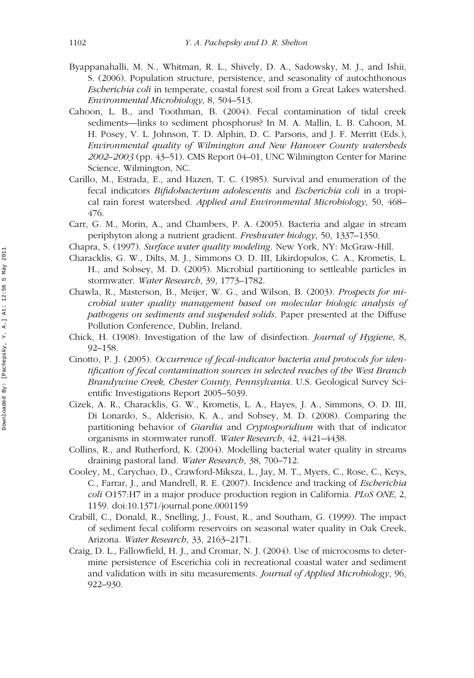- Byappanahalli, M. N., Whitman, R. L., Shively, D. A., Sadowsky, M. J., and Ishii, S. (2006). Population structure, persistence, and seasonality of autochthonous *Escherichia coli* in temperate, coastal forest soil from a Great Lakes watershed. *Environmental Microbiology*, 8, 504–513.
- Cahoon, L. B., and Toothman, B. (2004). Fecal contamination of tidal creek sediments—links to sediment phosphorus? In M. A. Mallin, L. B. Cahoon, M. H. Posey, V. L. Johnson, T. D. Alphin, D. C. Parsons, and J. F. Merritt (Eds.), *Environmental quality of Wilmington and New Hanover County watersheds 2002–2003* (pp. 43–51). CMS Report 04–01, UNC Wilmington Center for Marine Science, Wilmington, NC.
- Carillo, M., Estrada, E., and Hazen, T. C. (1985). Survival and enumeration of the fecal indicators *Bifidobacterium adolescentis* and *Escherichia coli* in a tropical rain forest watershed. *Applied and Environmental Microbiology*, 50, 468– 476.
- Carr, G. M., Morin, A., and Chambers, P. A. (2005). Bacteria and algae in stream periphyton along a nutrient gradient. *Freshwater biology*, 50, 1337–1350.
- Chapra, S. (1997). *Surface water quality modeling*. New York, NY: McGraw-Hill.
- Characklis, G. W., Dilts, M. J., Simmons O. D. III, Likirdopulos, C. A., Krometis, L. H., and Sobsey, M. D. (2005). Microbial partitioning to settleable particles in stormwater. *Water Research*, 39, 1773–1782.
- Chawla, R., Masterson, B., Meijer, W. G., and Wilson, B. (2003). *Prospects for microbial water quality management based on molecular biologic analysis of pathogens on sediments and suspended solids*. Paper presented at the Diffuse Pollution Conference, Dublin, Ireland.
- Chick, H. (1908). Investigation of the law of disinfection. *Journal of Hygiene*, 8, 92–158.
- Cinotto, P. J. (2005). *Occurrence of fecal-indicator bacteria and protocols for identification of fecal contamination sources in selected reaches of the West Branch Brandywine Creek, Chester County, Pennsylvania*. U.S. Geological Survey Scientific Investigations Report 2005–5039.
- Cizek, A. R., Characklis, G. W., Krometis, L. A., Hayes, J. A., Simmons, O. D. III, Di Lonardo, S., Alderisio, K. A., and Sobsey, M. D. (2008). Comparing the partitioning behavior of *Giardia* and *Cryptosporidium* with that of indicator organisms in stormwater runoff. *Water Research*, 42, 4421–4438.
- Collins, R., and Rutherford, K. (2004). Modelling bacterial water quality in streams draining pastoral land. *Water Research*, 38, 700–712.
- Cooley, M., Carychao, D., Crawford-Miksza, L., Jay, M. T., Myers, C., Rose, C., Keys, C., Farrar, J., and Mandrell, R. E. (2007). Incidence and tracking of *Escherichia coli* O157:H7 in a major produce production region in California. *PLoS ONE*, 2, 1159. doi:10.1371/journal.pone.0001159
- Crabill, C., Donald, R., Snelling, J., Foust, R., and Southam, G. (1999). The impact of sediment fecal coliform reservoirs on seasonal water quality in Oak Creek, Arizona. *Water Research*, 33, 2163–2171.
- Craig, D. L., Fallowfield, H. J., and Cromar, N. J. (2004). Use of microcosms to determine persistence of Escerichia coli in recreational coastal water and sediment and validation with in situ measurements. *Journal of Applied Microbiology*, 96, 922–930.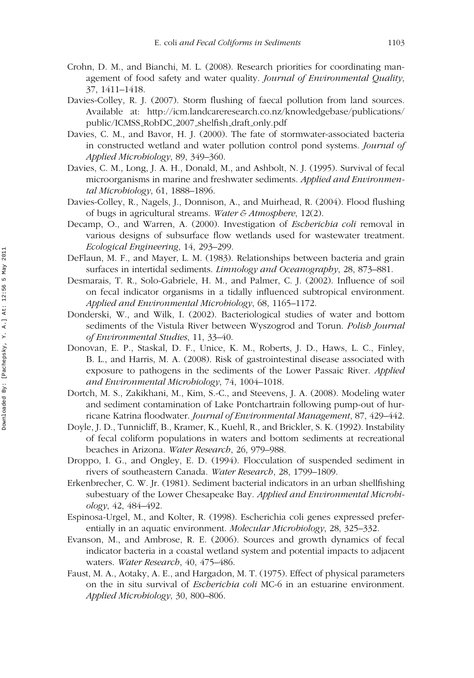- Crohn, D. M., and Bianchi, M. L. (2008). Research priorities for coordinating management of food safety and water quality. *Journal of Environmental Quality*, 37, 1411–1418.
- Davies-Colley, R. J. (2007). Storm flushing of faecal pollution from land sources. Available at: [http://icm.landcareresearch.co.nz/k](http://icm.landcareresearch.co.nz/knowledgebase/publications/penalty -@M public/ICMSSunhbox voidb@x kern .06emvbox {hrule width.3em}RobDCunhbox voidb@x kern .06emvbox {hrule width.3em}2007unhbox voidb@x kern .06emvbox {hrule width.3em}shelfishunhbox voidb@x kern .06emvbox {hrule width.3em}draftunhbox voidb@x kern .06emvbox {hrule width.3em}only.pdf)nowledgebase/publications/ public/ICMSS\_RobDC\_2007\_shelfish\_draft\_only.pdf
- Davies, C. M., and Bavor, H. J. (2000). The fate of stormwater-associated bacteria in constructed wetland and water pollution control pond systems. *Journal of Applied Microbiology*, 89, 349–360.
- Davies, C. M., Long, J. A. H., Donald, M., and Ashbolt, N. J. (1995). Survival of fecal microorganisms in marine and freshwater sediments. *Applied and Environmental Microbiology*, 61, 1888–1896.
- Davies-Colley, R., Nagels, J., Donnison, A., and Muirhead, R. (2004). Flood flushing of bugs in agricultural streams. *Water & Atmosphere*, 12(2).
- Decamp, O., and Warren, A. (2000). Investigation of *Escherichia coli* removal in various designs of subsurface flow wetlands used for wastewater treatment. *Ecological Engineering*, 14, 293–299.
- DeFlaun, M. F., and Mayer, L. M. (1983). Relationships between bacteria and grain surfaces in intertidal sediments. *Limnology and Oceanography*, 28, 873–881.
- Desmarais, T. R., Solo-Gabriele, H. M., and Palmer, C. J. (2002). Influence of soil on fecal indicator organisms in a tidally influenced subtropical environment. *Applied and Environmental Microbiology*, 68, 1165–1172.
- Donderski, W., and Wilk, I. (2002). Bacteriological studies of water and bottom sediments of the Vistula River between Wyszogrod and Torun. *Polish Journal of Environmental Studies*, 11, 33–40.
- Donovan, E. P., Staskal, D. F., Unice, K. M., Roberts, J. D., Haws, L. C., Finley, B. L., and Harris, M. A. (2008). Risk of gastrointestinal disease associated with exposure to pathogens in the sediments of the Lower Passaic River. *Applied and Environmental Microbiology*, 74, 1004–1018.
- Dortch, M. S., Zakikhani, M., Kim, S.-C., and Steevens, J. A. (2008). Modeling water and sediment contamination of Lake Pontchartrain following pump-out of hurricane Katrina floodwater. *Journal of Environmental Management*, 87, 429–442.
- Doyle, J. D., Tunnicliff, B., Kramer, K., Kuehl, R., and Brickler, S. K. (1992). Instability of fecal coliform populations in waters and bottom sediments at recreational beaches in Arizona. *Water Research*, 26, 979–988.
- Droppo, I. G., and Ongley, E. D. (1994). Flocculation of suspended sediment in rivers of southeastern Canada. *Water Research*, 28, 1799–1809.
- Erkenbrecher, C. W. Jr. (1981). Sediment bacterial indicators in an urban shellfishing subestuary of the Lower Chesapeake Bay. *Applied and Environmental Microbiology*, 42, 484–492.
- Espinosa-Urgel, M., and Kolter, R. (1998). Escherichia coli genes expressed preferentially in an aquatic environment. *Molecular Microbiology*, 28, 325–332.
- Evanson, M., and Ambrose, R. E. (2006). Sources and growth dynamics of fecal indicator bacteria in a coastal wetland system and potential impacts to adjacent waters. *Water Research*, 40, 475–486.
- Faust, M. A., Aotaky, A. E., and Hargadon, M. T. (1975). Effect of physical parameters on the in situ survival of *Escherichia coli* MC-6 in an estuarine environment. *Applied Microbiology*, 30, 800–806.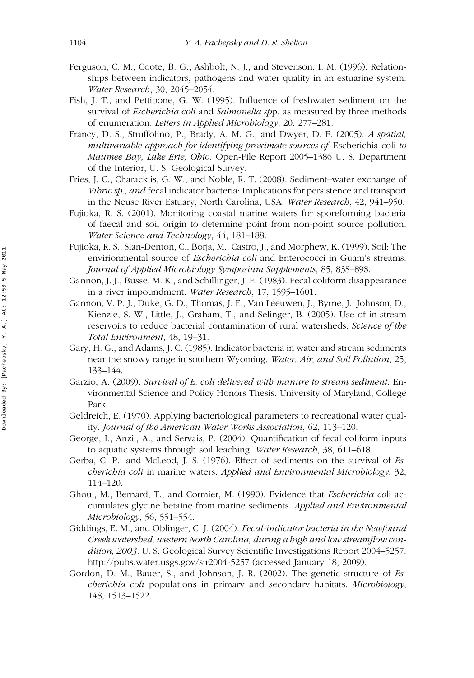- Ferguson, C. M., Coote, B. G., Ashbolt, N. J., and Stevenson, I. M. (1996). Relationships between indicators, pathogens and water quality in an estuarine system. *Water Research*, 30, 2045–2054.
- Fish, J. T., and Pettibone, G. W. (1995). Influence of freshwater sediment on the survival of *Escherichia coli* and *Salmonella sp*p. as measured by three methods of enumeration. *Letters in Applied Microbiology*, 20, 277–281.
- Francy, D. S., Struffolino, P., Brady, A. M. G., and Dwyer, D. F. (2005). *A spatial, multivariable approach for identifying proximate sources of* Escherichia coli *to Maumee Bay, Lake Erie, Ohio*. Open-File Report 2005–1386 U. S. Department of the Interior, U. S. Geological Survey.
- Fries, J. C., Characklis, G. W., and Noble, R. T. (2008). Sediment–water exchange of *Vibrio sp., and* fecal indicator bacteria: Implications for persistence and transport in the Neuse River Estuary, North Carolina, USA. *Water Research*, 42, 941–950.
- Fujioka, R. S. (2001). Monitoring coastal marine waters for sporeforming bacteria of faecal and soil origin to determine point from non-point source pollution. *Water Science and Technology*, 44, 181–188.
- Fujioka, R. S., Sian-Denton, C., Borja, M., Castro, J., and Morphew, K. (1999). Soil: The envirionmental source of *Escherichia coli* and Enterococci in Guam's streams. *Journal of Applied Microbiology Symposium Supplements*, 85, 83S–89S.
- Gannon, J. J., Busse, M. K., and Schillinger, J. E. (1983). Fecal coliform disappearance in a river impoundment. *Water Research*, 17, 1595–1601.
- Gannon, V. P. J., Duke, G. D., Thomas, J. E., Van Leeuwen, J., Byrne, J., Johnson, D., Kienzle, S. W., Little, J., Graham, T., and Selinger, B. (2005). Use of in-stream reservoirs to reduce bacterial contamination of rural watersheds. *Science of the Total Environment*, 48, 19–31.
- Gary, H. G., and Adams, J. C. (1985). Indicator bacteria in water and stream sediments near the snowy range in southern Wyoming. *Water, Air, and Soil Pollution*, 25, 133–144.
- Garzio, A. (2009). *Survival of E. coli delivered with manure to stream sediment*. Environmental Science and Policy Honors Thesis. University of Maryland, College Park.
- Geldreich, E. (1970). Applying bacteriological parameters to recreational water quality. *Journal of the American Water Works Association*, 62, 113–120.
- George, I., Anzil, A., and Servais, P. (2004). Quantification of fecal coliform inputs to aquatic systems through soil leaching. *Water Research*, 38, 611–618.
- Gerba, C. P., and McLeod, J. S. (1976). Effect of sediments on the survival of *Escherichia coli* in marine waters. *Applied and Environmental Microbiology*, 32, 114–120.
- Ghoul, M., Bernard, T., and Cormier, M. (1990). Evidence that *Escherichia co*li accumulates glycine betaine from marine sediments. *Applied and Environmental Microbiology*, 56, 551–554.
- Giddings, E. M., and Oblinger, C. J. (2004). *Fecal-indicator bacteria in the Newfound Creek watershed, western North Carolina, during a high and low streamflow condition, 2003*. U. S. Geological Survey Scientific Investigations Report 2004–5257. <http://pubs.water.usgs.gov/sir2004-5257> (accessed January 18, 2009).
- Gordon, D. M., Bauer, S., and Johnson, J. R. (2002). The genetic structure of *Escherichia coli* populations in primary and secondary habitats. *Microbiology*, 148, 1513–1522.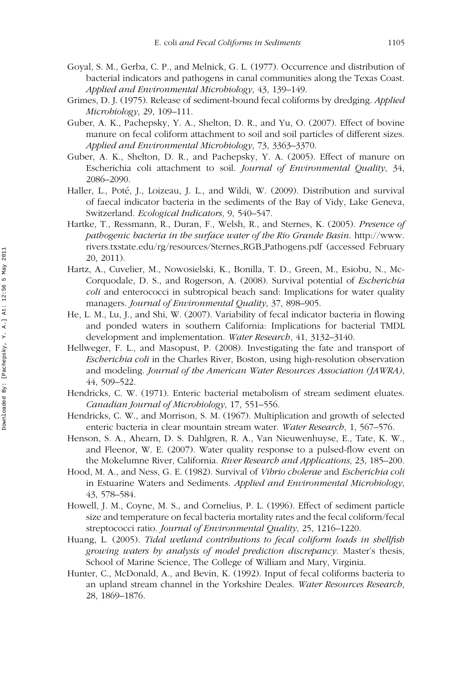- Goyal, S. M., Gerba, C. P., and Melnick, G. L. (1977). Occurrence and distribution of bacterial indicators and pathogens in canal communities along the Texas Coast. *Applied and Environmental Microbiology*, 43, 139–149.
- Grimes, D. J. (1975). Release of sediment-bound fecal coliforms by dredging. *Applied Microbiology*, 29, 109–111.
- Guber, A. K., Pachepsky, Y. A., Shelton, D. R., and Yu, O. (2007). Effect of bovine manure on fecal coliform attachment to soil and soil particles of different sizes. *Applied and Environmental Microbiology*, 73, 3363–3370.
- Guber, A. K., Shelton, D. R., and Pachepsky, Y. A. (2005). Effect of manure on Escherichia coli attachment to soil. *Journal of Environmental Quality*, 34, 2086–2090.
- Haller, L., Pote, J., Loizeau, J. L., and Wildi, W. (2009). Distribution and survival ´ of faecal indicator bacteria in the sediments of the Bay of Vidy, Lake Geneva, Switzerland. *Ecological Indicators*, 9, 540–547.
- Hartke, T., Ressmann, R., Duran, F., Welsh, R., and Sternes, K. (2005). *Presence of pathogenic bacteria in the surface water of the Rio Grande Basin*. [http://www.](http://www.rivers.txstate.edu/rg/resources/Sternes$protect unhbox voidb@x kern .06emvbox {hrule width.3em}$RGBunhbox voidb@x kern .06emvbox {hrule width.3em}Pathogens.pdf) [rivers.txstate.edu/rg/resources/Sternes](http://www.rivers.txstate.edu/rg/resources/Sternes$protect unhbox voidb@x kern .06emvbox {hrule width.3em}$RGBunhbox voidb@x kern .06emvbox {hrule width.3em}Pathogens.pdf) RGB Pathogens.pdf (accessed February 20, 2011).
- Hartz, A., Cuvelier, M., Nowosielski, K., Bonilla, T. D., Green, M., Esiobu, N., Mc-Corquodale, D. S., and Rogerson, A. (2008). Survival potential of *Escherichia coli* and enterococci in subtropical beach sand: Implications for water quality managers. *Journal of Environmental Quality*, 37, 898–905.
- He, L. M., Lu, J., and Shi, W. (2007). Variability of fecal indicator bacteria in flowing and ponded waters in southern California: Implications for bacterial TMDL development and implementation. *Water Research*, 41, 3132–3140.
- Hellweger, F. L., and Masopust, P. (2008). Investigating the fate and transport of *Escherichia coli* in the Charles River, Boston, using high-resolution observation and modeling. *Journal of the American Water Resources Association (JAWRA)*, 44, 509–522.
- Hendricks, C. W. (1971). Enteric bacterial metabolism of stream sediment eluates. *Canadian Journal of Microbiology*, 17, 551–556.
- Hendricks, C. W., and Morrison, S. M. (1967). Multiplication and growth of selected enteric bacteria in clear mountain stream water. *Water Research*, 1, 567–576.
- Henson, S. A., Ahearn, D. S. Dahlgren, R. A., Van Nieuwenhuyse, E., Tate, K. W., and Fleenor, W. E. (2007). Water quality response to a pulsed-flow event on the Mokelumne River, California. *River Research and Applications*, 23, 185–200.
- Hood, M. A., and Ness, G. E. (1982). Survival of *Vibrio cholerae* and *Escherichia coli* in Estuarine Waters and Sediments. *Applied and Environmental Microbiology*, 43, 578–584.
- Howell, J. M., Coyne, M. S., and Cornelius, P. L. (1996). Effect of sediment particle size and temperature on fecal bacteria mortality rates and the fecal coliform/fecal streptococci ratio. *Journal of Environmental Quality*, 25, 1216–1220.
- Huang, L. (2005). *Tidal wetland contributions to fecal coliform loads in shellfish growing waters by analysis of model prediction discrepancy*. Master's thesis, School of Marine Science, The College of William and Mary, Virginia.
- Hunter, C., McDonald, A., and Bevin, K. (1992). Input of fecal coliforms bacteria to an upland stream channel in the Yorkshire Deales. *Water Resources Research*, 28, 1869–1876.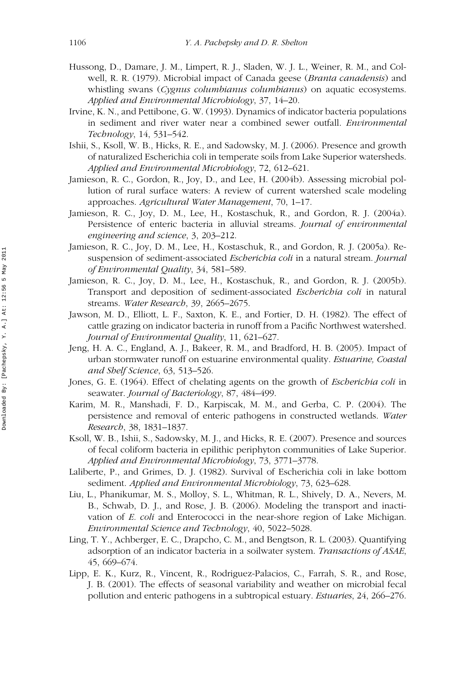- Hussong, D., Damare, J. M., Limpert, R. J., Sladen, W. J. L., Weiner, R. M., and Colwell, R. R. (1979). Microbial impact of Canada geese (*Branta canadensis*) and whistling swans (*Cygnus columbianus columbianus*) on aquatic ecosystems. *Applied and Environmental Microbiology*, 37, 14–20.
- Irvine, K. N., and Pettibone, G. W. (1993). Dynamics of indicator bacteria populations in sediment and river water near a combined sewer outfall. *Environmental Technology*, 14, 531–542.
- Ishii, S., Ksoll, W. B., Hicks, R. E., and Sadowsky, M. J. (2006). Presence and growth of naturalized Escherichia coli in temperate soils from Lake Superior watersheds. *Applied and Environmental Microbiology*, 72, 612–621.
- Jamieson, R. C., Gordon, R., Joy, D., and Lee, H. (2004b). Assessing microbial pollution of rural surface waters: A review of current watershed scale modeling approaches. *Agricultural Water Management*, 70, 1–17.
- Jamieson, R. C., Joy, D. M., Lee, H., Kostaschuk, R., and Gordon, R. J. (2004a). Persistence of enteric bacteria in alluvial streams. *Journal of environmental engineering and science*, 3, 203–212.
- Jamieson, R. C., Joy, D. M., Lee, H., Kostaschuk, R., and Gordon, R. J. (2005a). Resuspension of sediment-associated *Escherichia coli* in a natural stream. *Journal of Environmental Quality*, 34, 581–589.
- Jamieson, R. C., Joy, D. M., Lee, H., Kostaschuk, R., and Gordon, R. J. (2005b). Transport and deposition of sediment-associated *Escherichia coli* in natural streams. *Water Research*, 39, 2665–2675.
- Jawson, M. D., Elliott, L. F., Saxton, K. E., and Fortier, D. H. (1982). The effect of cattle grazing on indicator bacteria in runoff from a Pacific Northwest watershed. *Journal of Environmental Quality*, 11, 621–627.
- Jeng, H. A. C., England, A. J., Bakeer, R. M., and Bradford, H. B. (2005). Impact of urban stormwater runoff on estuarine environmental quality. *Estuarine, Coastal and Shelf Science*, 63, 513–526.
- Jones, G. E. (1964). Effect of chelating agents on the growth of *Escherichia coli* in seawater. *Journal of Bacteriology*, 87, 484–499.
- Karim, M. R., Manshadi, F. D., Karpiscak, M. M., and Gerba, C. P. (2004). The persistence and removal of enteric pathogens in constructed wetlands. *Water Research*, 38, 1831–1837.
- Ksoll, W. B., Ishii, S., Sadowsky, M. J., and Hicks, R. E. (2007). Presence and sources of fecal coliform bacteria in epilithic periphyton communities of Lake Superior. *Applied and Environmental Microbiology*, 73, 3771–3778.
- Laliberte, P., and Grimes, D. J. (1982). Survival of Escherichia coli in lake bottom sediment. *Applied and Environmental Microbiology*, 73, 623–628.
- Liu, L., Phanikumar, M. S., Molloy, S. L., Whitman, R. L., Shively, D. A., Nevers, M. B., Schwab, D. J., and Rose, J. B. (2006). Modeling the transport and inactivation of *E. coli* and Enterococci in the near-shore region of Lake Michigan. *Environmental Science and Technology*, 40, 5022–5028.
- Ling, T. Y., Achberger, E. C., Drapcho, C. M., and Bengtson, R. L. (2003). Quantifying adsorption of an indicator bacteria in a soilwater system. *Transactions of ASAE*, 45, 669–674.
- Lipp, E. K., Kurz, R., Vincent, R., Rodriguez-Palacios, C., Farrah, S. R., and Rose, J. B. (2001). The effects of seasonal variability and weather on microbial fecal pollution and enteric pathogens in a subtropical estuary. *Estuaries*, 24, 266–276.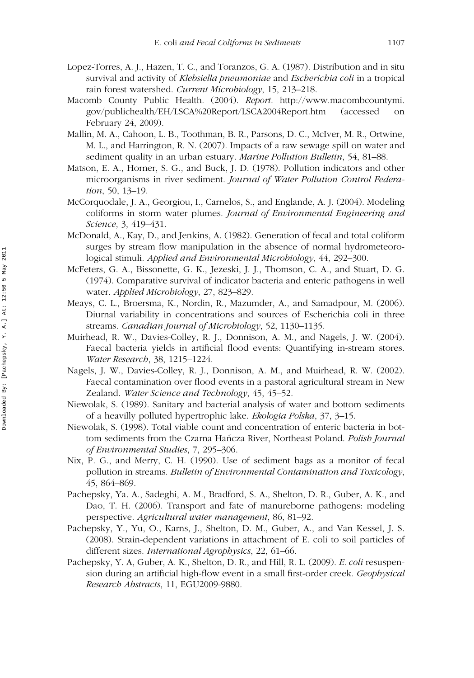- Lopez-Torres, A. J., Hazen, T. C., and Toranzos, G. A. (1987). Distribution and in situ survival and activity of *Klebsiella pneumoniae* and *Escherichia coli* in a tropical rain forest watershed. *Current Microbiology*, 15, 213–218.
- Macomb County Public Health. (2004). *Report*. [http://www.macombcountymi.](http://www.macombcountymi.gov/publichealth/EH/LSCA%20Report/LSCA2004Report.htm) [gov/publichealth/EH/LSCA%20Report/LSCA2004Report.htm](http://www.macombcountymi.gov/publichealth/EH/LSCA%20Report/LSCA2004Report.htm) (accessed on February 24, 2009).
- Mallin, M. A., Cahoon, L. B., Toothman, B. R., Parsons, D. C., McIver, M. R., Ortwine, M. L., and Harrington, R. N. (2007). Impacts of a raw sewage spill on water and sediment quality in an urban estuary. *Marine Pollution Bulletin*, 54, 81–88.
- Matson, E. A., Horner, S. G., and Buck, J. D. (1978). Pollution indicators and other microorganisms in river sediment. *Journal of Water Pollution Control Federation*, 50, 13–19.
- McCorquodale, J. A., Georgiou, I., Carnelos, S., and Englande, A. J. (2004). Modeling coliforms in storm water plumes. *Journal of Environmental Engineering and Science*, 3, 419–431.
- McDonald, A., Kay, D., and Jenkins, A. (1982). Generation of fecal and total coliform surges by stream flow manipulation in the absence of normal hydrometeorological stimuli. *Applied and Environmental Microbiology*, 44, 292–300.
- McFeters, G. A., Bissonette, G. K., Jezeski, J. J., Thomson, C. A., and Stuart, D. G. (1974). Comparative survival of indicator bacteria and enteric pathogens in well water. *Applied Microbiology*, 27, 823–829.
- Meays, C. L., Broersma, K., Nordin, R., Mazumder, A., and Samadpour, M. (2006). Diurnal variability in concentrations and sources of Escherichia coli in three streams. *Canadian Journal of Microbiology*, 52, 1130–1135.
- Muirhead, R. W., Davies-Colley, R. J., Donnison, A. M., and Nagels, J. W. (2004). Faecal bacteria yields in artificial flood events: Quantifying in-stream stores. *Water Research*, 38, 1215–1224.
- Nagels, J. W., Davies-Colley, R. J., Donnison, A. M., and Muirhead, R. W. (2002). Faecal contamination over flood events in a pastoral agricultural stream in New Zealand. *Water Science and Technology*, 45, 45–52.
- Niewolak, S. (1989). Sanitary and bacterial analysis of water and bottom sediments of a heavilly polluted hypertrophic lake. *Ekologia Polska*, 37, 3–15.
- Niewolak, S. (1998). Total viable count and concentration of enteric bacteria in bottom sediments from the Czarna Hancza River, Northeast Poland. *Polish Journal of Environmental Studies*, 7, 295–306.
- Nix, P. G., and Merry, C. H. (1990). Use of sediment bags as a monitor of fecal pollution in streams. *Bulletin of Environmental Contamination and Toxicology*, 45, 864–869.
- Pachepsky, Ya. A., Sadeghi, A. M., Bradford, S. A., Shelton, D. R., Guber, A. K., and Dao, T. H. (2006). Transport and fate of manureborne pathogens: modeling perspective. *Agricultural water management*, 86, 81–92.
- Pachepsky, Y., Yu, O., Karns, J., Shelton, D. M., Guber, A., and Van Kessel, J. S. (2008). Strain-dependent variations in attachment of E. coli to soil particles of different sizes. *International Agrophysics*, 22, 61–66.
- Pachepsky, Y. A, Guber, A. K., Shelton, D. R., and Hill, R. L. (2009). *E. coli* resuspension during an artificial high-flow event in a small first-order creek. *Geophysical Research Abstracts*, 11, EGU2009-9880.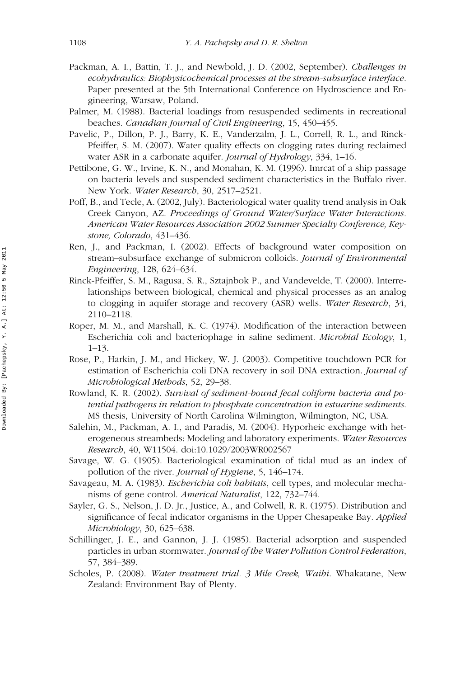- Packman, A. I., Battin, T. J., and Newbold, J. D. (2002, September). *Challenges in ecohydraulics: Biophysicochemical processes at the stream-subsurface interface*. Paper presented at the 5th International Conference on Hydroscience and Engineering, Warsaw, Poland.
- Palmer, M. (1988). Bacterial loadings from resuspended sediments in recreational beaches. *Canadian Journal of Civil Engineering*, 15, 450–455.
- Pavelic, P., Dillon, P. J., Barry, K. E., Vanderzalm, J. L., Correll, R. L., and Rinck-Pfeiffer, S. M. (2007). Water quality effects on clogging rates during reclaimed water ASR in a carbonate aquifer. *Journal of Hydrology*, 334, 1–16.
- Pettibone, G. W., Irvine, K. N., and Monahan, K. M. (1996). Imrcat of a ship passage on bacteria levels and suspended sediment characteristics in the Buffalo river. New York. *Water Research*, 30, 2517–2521.
- Poff, B., and Tecle, A. (2002, July). Bacteriological water quality trend analysis in Oak Creek Canyon, AZ. *Proceedings of Ground Water/Surface Water Interactions. American Water Resources Association 2002 Summer Specialty Conference, Keystone, Colorado*, 431–436.
- Ren, J., and Packman, I. (2002). Effects of background water composition on stream–subsurface exchange of submicron colloids. *Journal of Environmental Engineering*, 128, 624–634.
- Rinck-Pfeiffer, S. M., Ragusa, S. R., Sztajnbok P., and Vandevelde, T. (2000). Interrelationships between biological, chemical and physical processes as an analog to clogging in aquifer storage and recovery (ASR) wells. *Water Research*, 34, 2110–2118.
- Roper, M. M., and Marshall, K. C. (1974). Modification of the interaction between Escherichia coli and bacteriophage in saline sediment. *Microbial Ecology*, 1, 1–13.
- Rose, P., Harkin, J. M., and Hickey, W. J. (2003). Competitive touchdown PCR for estimation of Escherichia coli DNA recovery in soil DNA extraction. *Journal of Microbiological Methods*, 52, 29–38.
- Rowland, K. R. (2002). *Survival of sediment-bound fecal coliform bacteria and potential pathogens in relation to phosphate concentration in estuarine sediments*. MS thesis, University of North Carolina Wilmington, Wilmington, NC, USA.
- Salehin, M., Packman, A. I., and Paradis, M. (2004). Hyporheic exchange with heterogeneous streambeds: Modeling and laboratory experiments. *Water Resources Research*, 40, W11504. doi:10.1029/2003WR002567
- Savage, W. G. (1905). Bacteriological examination of tidal mud as an index of pollution of the river. *Journal of Hygiene*, 5, 146–174.
- Savageau, M. A. (1983). *Escherichia coli habitats*, cell types, and molecular mechanisms of gene control. *Americal Naturalist*, 122, 732–744.
- Sayler, G. S., Nelson, J. D. Jr., Justice, A., and Colwell, R. R. (1975). Distribution and significance of fecal indicator organisms in the Upper Chesapeake Bay. *Applied Microbiology*, 30, 625–638.
- Schillinger, J. E., and Gannon, J. J. (1985). Bacterial adsorption and suspended particles in urban stormwater. *Journal of the Water Pollution Control Federation*, 57, 384–389.
- Scholes, P. (2008). *Water treatment trial. 3 Mile Creek, Waihi*. Whakatane, New Zealand: Environment Bay of Plenty.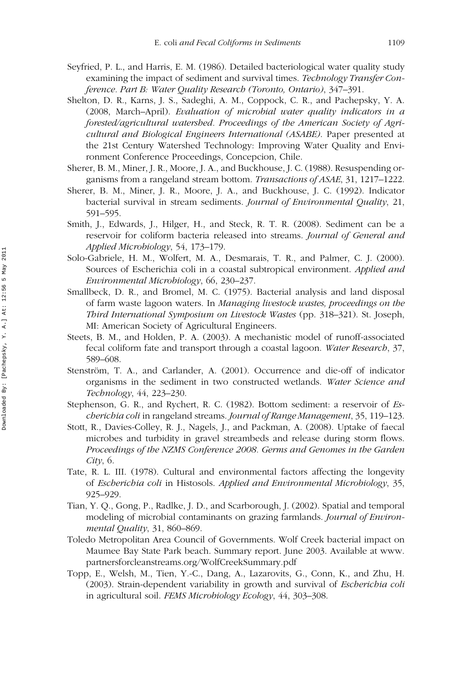- Seyfried, P. L., and Harris, E. M. (1986). Detailed bacteriological water quality study examining the impact of sediment and survival times. *Technology Transfer Conference. Part B: Water Quality Research (Toronto, Ontario)*, 347–391.
- Shelton, D. R., Karns, J. S., Sadeghi, A. M., Coppock, C. R., and Pachepsky, Y. A. (2008, March–April). *Evaluation of microbial water quality indicators in a forested/agricultural watershed. Proceedings of the American Society of Agricultural and Biological Engineers International (ASABE)*. Paper presented at the 21st Century Watershed Technology: Improving Water Quality and Environment Conference Proceedings, Concepcion, Chile.
- Sherer, B. M., Miner, J. R., Moore, J. A., and Buckhouse, J. C. (1988). Resuspending organisms from a rangeland stream bottom. *Transactions of ASAE*, 31, 1217–1222.
- Sherer, B. M., Miner, J. R., Moore, J. A., and Buckhouse, J. C. (1992). Indicator bacterial survival in stream sediments. *Journal of Environmental Quality*, 21, 591–595.
- Smith, J., Edwards, J., Hilger, H., and Steck, R. T. R. (2008). Sediment can be a reservoir for coliform bacteria released into streams. *Journal of General and Applied Microbiology*, 54, 173–179.
- Solo-Gabriele, H. M., Wolfert, M. A., Desmarais, T. R., and Palmer, C. J. (2000). Sources of Escherichia coli in a coastal subtropical environment. *Applied and Environmental Microbiology*, 66, 230–237.
- Smallbeck, D. R., and Bromel, M. C. (1975). Bacterial analysis and land disposal of farm waste lagoon waters. In *Managing livestock wastes, proceedings on the Third International Symposium on Livestock Wastes* (pp. 318–321). St. Joseph, MI: American Society of Agricultural Engineers.
- Steets, B. M., and Holden, P. A. (2003). A mechanistic model of runoff-associated fecal coliform fate and transport through a coastal lagoon. *Water Research*, 37, 589–608.
- Stenström, T. A., and Carlander, A. (2001). Occurrence and die-off of indicator organisms in the sediment in two constructed wetlands. *Water Science and Technology*, 44, 223–230.
- Stephenson, G. R., and Rychert, R. C. (1982). Bottom sediment: a reservoir of *Escherichia coli* in rangeland streams. *Journal of Range Management*, 35, 119–123.
- Stott, R., Davies-Colley, R. J., Nagels, J., and Packman, A. (2008). Uptake of faecal microbes and turbidity in gravel streambeds and release during storm flows. *Proceedings of the NZMS Conference 2008. Germs and Genomes in the Garden City*, 6.
- Tate, R. L. III. (1978). Cultural and environmental factors affecting the longevity of *Escherichia coli* in Histosols. *Applied and Environmental Microbiology*, 35, 925–929.
- Tian, Y. Q., Gong, P., Radlke, J. D., and Scarborough, J. (2002). Spatial and temporal modeling of microbial contaminants on grazing farmlands. *Journal of Environmental Quality*, 31, 860–869.
- Toledo Metropolitan Area Council of Governments. Wolf Creek bacterial impact on Maumee Bay State Park beach. Summary report. June 2003. Available at [www.](www.partnersforcleanstreams.org/WolfCreekSummary.pdf) [partnersforcleanstreams.org/WolfCreekSummary.pdf](www.partnersforcleanstreams.org/WolfCreekSummary.pdf)
- Topp, E., Welsh, M., Tien, Y.-C., Dang, A., Lazarovits, G., Conn, K., and Zhu, H. (2003). Strain-dependent variability in growth and survival of *Escherichia coli* in agricultural soil. *FEMS Microbiology Ecology*, 44, 303–308.